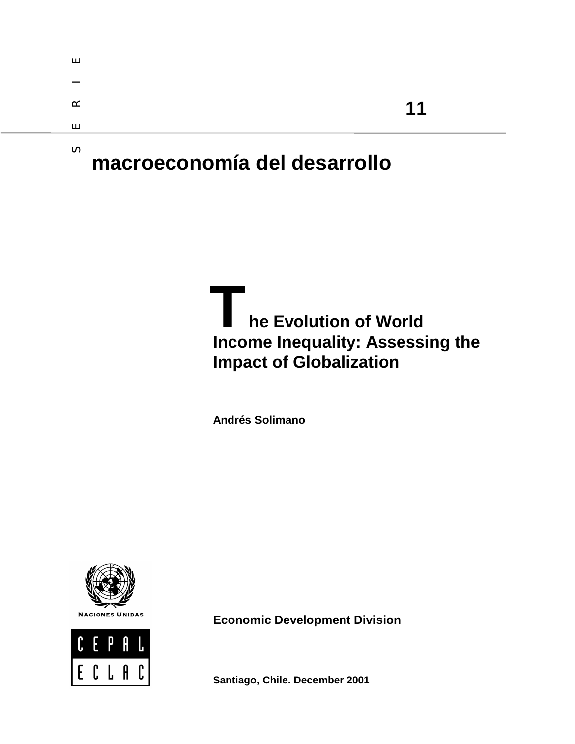| ш        |    |  |
|----------|----|--|
| –        |    |  |
| $\alpha$ | 11 |  |
| $\perp$  |    |  |
| S.       |    |  |

# **macroeconomía del desarrollo**

**he Evolution of World Income Inequality: Assessing the Impact of Globalization T** 

**Andrés Solimano**





**Economic Development Division** 

**Santiago, Chile. December 2001**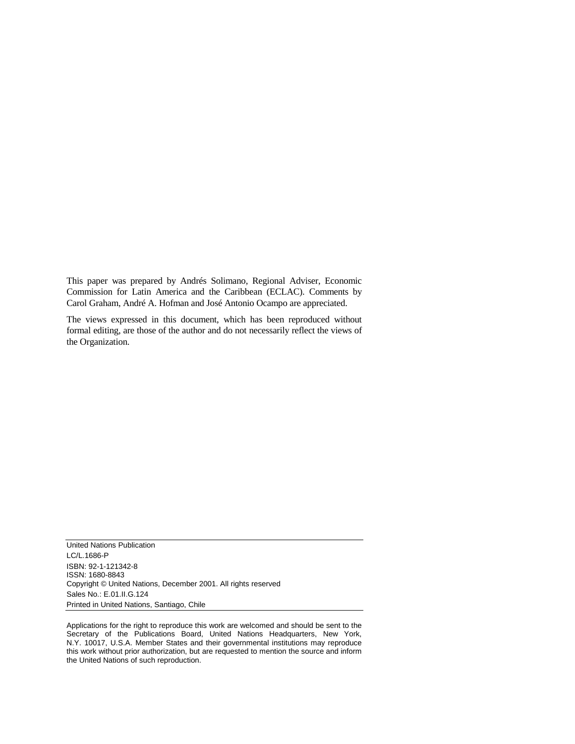This paper was prepared by Andrés Solimano, Regional Adviser, Economic Commission for Latin America and the Caribbean (ECLAC). Comments by Carol Graham, André A. Hofman and José Antonio Ocampo are appreciated.

The views expressed in this document, which has been reproduced without formal editing, are those of the author and do not necessarily reflect the views of the Organization.

United Nations Publication LC/L.1686-P ISBN: 92-1-121342-8 ISSN: 1680-8843 Copyright © United Nations, December 2001. All rights reserved Sales No.: E.01.II.G.124 Printed in United Nations, Santiago, Chile

Applications for the right to reproduce this work are welcomed and should be sent to the Secretary of the Publications Board, United Nations Headquarters, New York, N.Y. 10017, U.S.A. Member States and their governmental institutions may reproduce this work without prior authorization, but are requested to mention the source and inform the United Nations of such reproduction.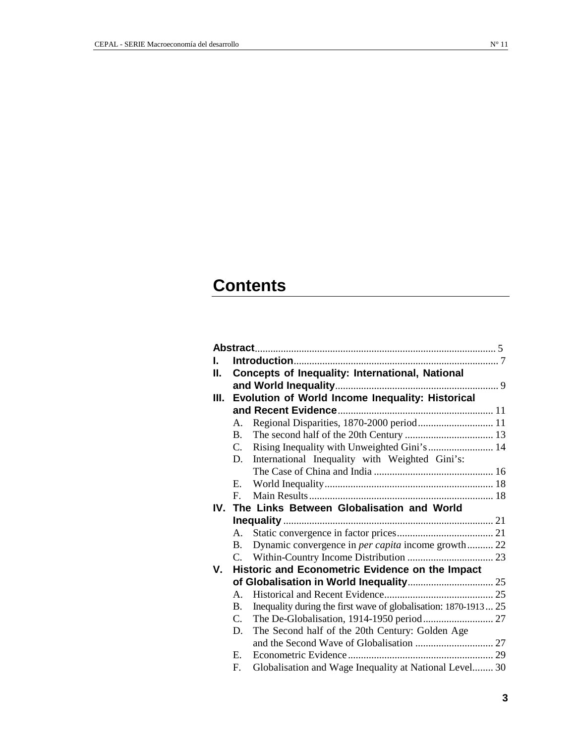# **Contents**

| L  |                |                                                                 |
|----|----------------|-----------------------------------------------------------------|
| Н. |                | Concepts of Inequality: International, National                 |
|    |                |                                                                 |
| Ш. |                | Evolution of World Income Inequality: Historical                |
|    |                |                                                                 |
|    | Α.             | Regional Disparities, 1870-2000 period 11                       |
|    | <b>B.</b>      |                                                                 |
|    | $C_{\cdot}$    | Rising Inequality with Unweighted Gini's  14                    |
|    | D.             | International Inequality with Weighted Gini's:                  |
|    |                |                                                                 |
|    | Е.             |                                                                 |
|    | $F_{\cdot}$    |                                                                 |
|    |                | IV. The Links Between Globalisation and World                   |
|    |                |                                                                 |
|    | А.             |                                                                 |
|    | <b>B.</b>      | Dynamic convergence in <i>per capita</i> income growth 22       |
|    | C.             |                                                                 |
| V. |                | Historic and Econometric Evidence on the Impact                 |
|    |                |                                                                 |
|    | $A_{-}$        |                                                                 |
|    | B.             | Inequality during the first wave of globalisation: 1870-1913 25 |
|    | $\mathbf{C}$ . |                                                                 |
|    | D.             | The Second half of the 20th Century: Golden Age                 |
|    |                |                                                                 |
|    | E.             |                                                                 |
|    | F.             | Globalisation and Wage Inequality at National Level 30          |
|    |                |                                                                 |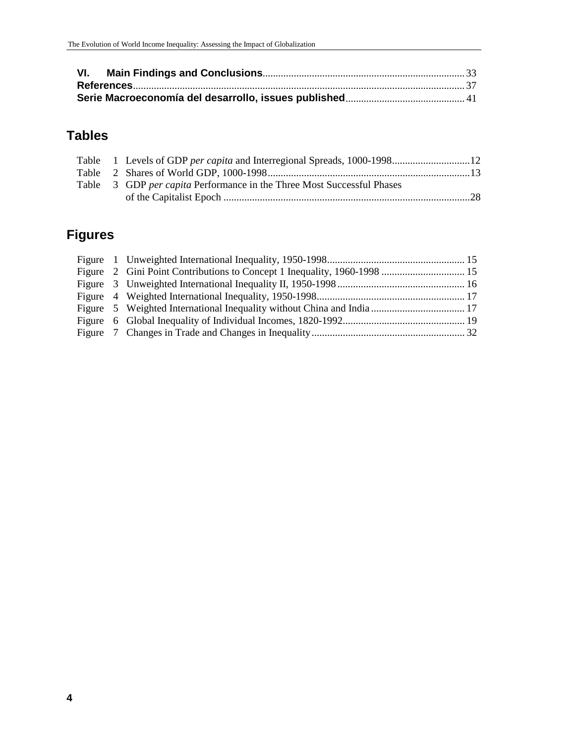# **Tables**

|  | Table 3 GDP per capita Performance in the Three Most Successful Phases |  |
|--|------------------------------------------------------------------------|--|
|  |                                                                        |  |

# **Figures**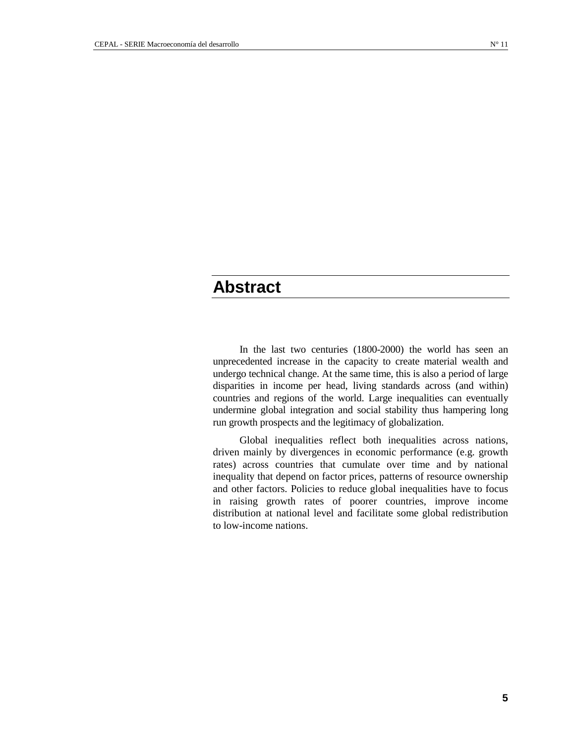# **Abstract**

In the last two centuries (1800-2000) the world has seen an unprecedented increase in the capacity to create material wealth and undergo technical change. At the same time, this is also a period of large disparities in income per head, living standards across (and within) countries and regions of the world. Large inequalities can eventually undermine global integration and social stability thus hampering long run growth prospects and the legitimacy of globalization.

Global inequalities reflect both inequalities across nations, driven mainly by divergences in economic performance (e.g. growth rates) across countries that cumulate over time and by national inequality that depend on factor prices, patterns of resource ownership and other factors. Policies to reduce global inequalities have to focus in raising growth rates of poorer countries, improve income distribution at national level and facilitate some global redistribution to low-income nations.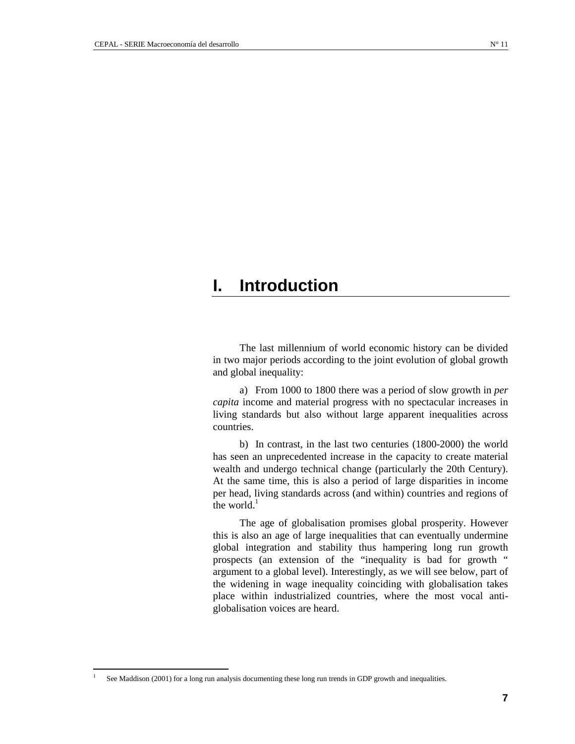# **I. Introduction**

The last millennium of world economic history can be divided in two major periods according to the joint evolution of global growth and global inequality:

a) From 1000 to 1800 there was a period of slow growth in *per capita* income and material progress with no spectacular increases in living standards but also without large apparent inequalities across countries.

b) In contrast, in the last two centuries (1800-2000) the world has seen an unprecedented increase in the capacity to create material wealth and undergo technical change (particularly the 20th Century). At the same time, this is also a period of large disparities in income per head, living standards across (and within) countries and regions of the world. $<sup>1</sup>$ </sup>

The age of globalisation promises global prosperity. However this is also an age of large inequalities that can eventually undermine global integration and stability thus hampering long run growth prospects (an extension of the "inequality is bad for growth " argument to a global level). Interestingly, as we will see below, part of the widening in wage inequality coinciding with globalisation takes place within industrialized countries, where the most vocal antiglobalisation voices are heard.

 $\frac{1}{1}$ See Maddison (2001) for a long run analysis documenting these long run trends in GDP growth and inequalities.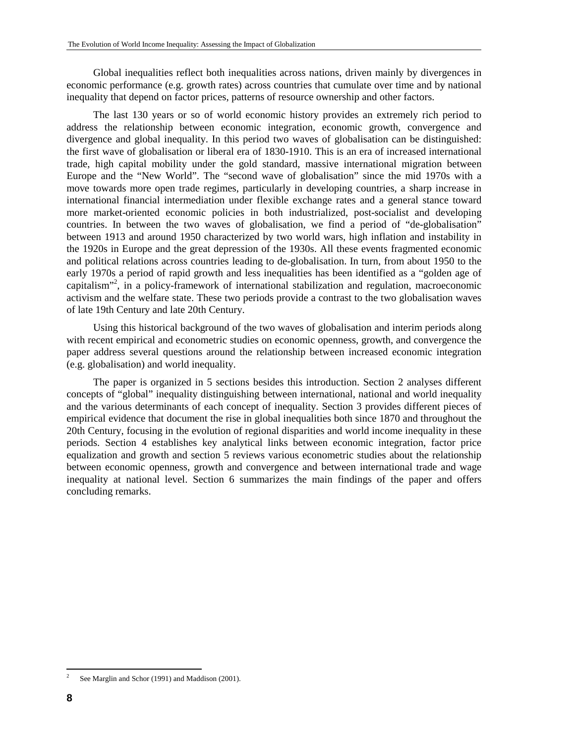Global inequalities reflect both inequalities across nations, driven mainly by divergences in economic performance (e.g. growth rates) across countries that cumulate over time and by national inequality that depend on factor prices, patterns of resource ownership and other factors.

The last 130 years or so of world economic history provides an extremely rich period to address the relationship between economic integration, economic growth, convergence and divergence and global inequality. In this period two waves of globalisation can be distinguished: the first wave of globalisation or liberal era of 1830-1910. This is an era of increased international trade, high capital mobility under the gold standard, massive international migration between Europe and the "New World". The "second wave of globalisation" since the mid 1970s with a move towards more open trade regimes, particularly in developing countries, a sharp increase in international financial intermediation under flexible exchange rates and a general stance toward more market-oriented economic policies in both industrialized, post-socialist and developing countries. In between the two waves of globalisation, we find a period of "de-globalisation" between 1913 and around 1950 characterized by two world wars, high inflation and instability in the 1920s in Europe and the great depression of the 1930s. All these events fragmented economic and political relations across countries leading to de-globalisation. In turn, from about 1950 to the early 1970s a period of rapid growth and less inequalities has been identified as a "golden age of capitalism"<sup>2</sup>, in a policy-framework of international stabilization and regulation, macroeconomic activism and the welfare state. These two periods provide a contrast to the two globalisation waves of late 19th Century and late 20th Century.

Using this historical background of the two waves of globalisation and interim periods along with recent empirical and econometric studies on economic openness, growth, and convergence the paper address several questions around the relationship between increased economic integration (e.g. globalisation) and world inequality.

The paper is organized in 5 sections besides this introduction. Section 2 analyses different concepts of "global" inequality distinguishing between international, national and world inequality and the various determinants of each concept of inequality. Section 3 provides different pieces of empirical evidence that document the rise in global inequalities both since 1870 and throughout the 20th Century, focusing in the evolution of regional disparities and world income inequality in these periods. Section 4 establishes key analytical links between economic integration, factor price equalization and growth and section 5 reviews various econometric studies about the relationship between economic openness, growth and convergence and between international trade and wage inequality at national level. Section 6 summarizes the main findings of the paper and offers concluding remarks.

 $\frac{1}{2}$ See Marglin and Schor (1991) and Maddison (2001).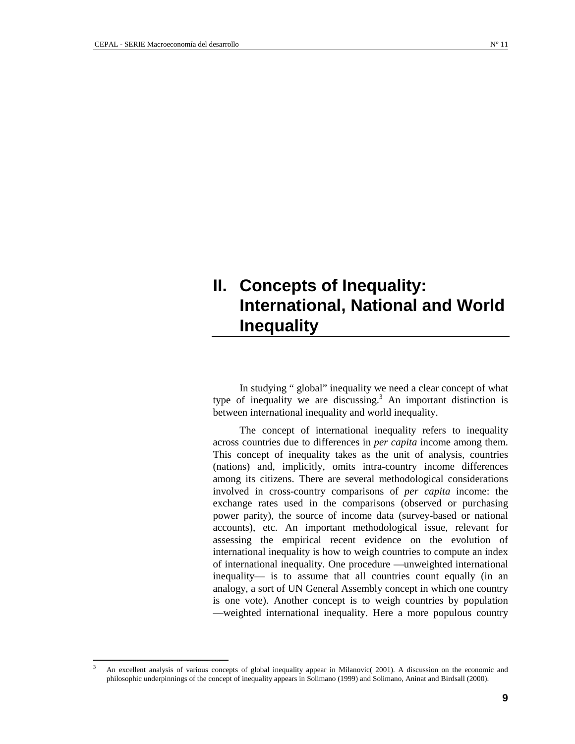3

# **II. Concepts of Inequality: International, National and World Inequality**

In studying " global" inequality we need a clear concept of what type of inequality we are discussing.<sup>3</sup> An important distinction is between international inequality and world inequality.

The concept of international inequality refers to inequality across countries due to differences in *per capita* income among them. This concept of inequality takes as the unit of analysis, countries (nations) and, implicitly, omits intra-country income differences among its citizens. There are several methodological considerations involved in cross-country comparisons of *per capita* income: the exchange rates used in the comparisons (observed or purchasing power parity), the source of income data (survey-based or national accounts), etc. An important methodological issue, relevant for assessing the empirical recent evidence on the evolution of international inequality is how to weigh countries to compute an index of international inequality. One procedure —unweighted international inequality— is to assume that all countries count equally (in an analogy, a sort of UN General Assembly concept in which one country is one vote). Another concept is to weigh countries by population —weighted international inequality. Here a more populous country

An excellent analysis of various concepts of global inequality appear in Milanovic( 2001). A discussion on the economic and philosophic underpinnings of the concept of inequality appears in Solimano (1999) and Solimano, Aninat and Birdsall (2000).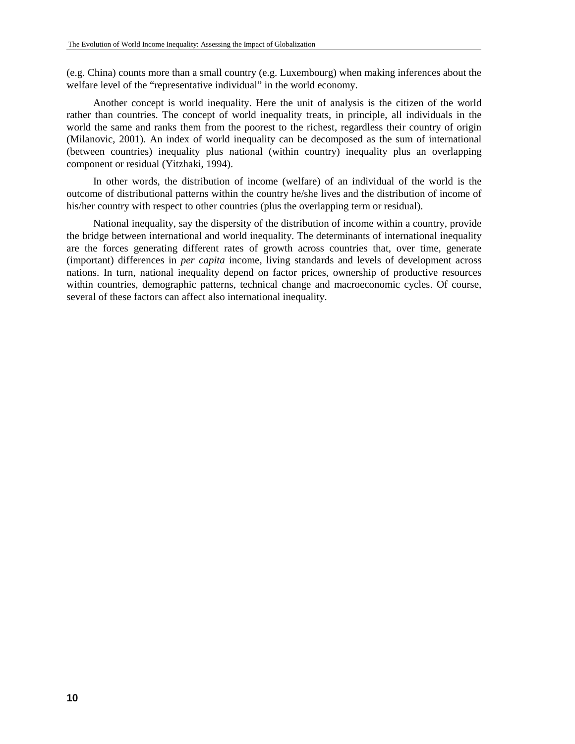(e.g. China) counts more than a small country (e.g. Luxembourg) when making inferences about the welfare level of the "representative individual" in the world economy.

Another concept is world inequality. Here the unit of analysis is the citizen of the world rather than countries. The concept of world inequality treats, in principle, all individuals in the world the same and ranks them from the poorest to the richest, regardless their country of origin (Milanovic, 2001). An index of world inequality can be decomposed as the sum of international (between countries) inequality plus national (within country) inequality plus an overlapping component or residual (Yitzhaki, 1994).

In other words, the distribution of income (welfare) of an individual of the world is the outcome of distributional patterns within the country he/she lives and the distribution of income of his/her country with respect to other countries (plus the overlapping term or residual).

National inequality, say the dispersity of the distribution of income within a country, provide the bridge between international and world inequality. The determinants of international inequality are the forces generating different rates of growth across countries that, over time, generate (important) differences in *per capita* income, living standards and levels of development across nations. In turn, national inequality depend on factor prices, ownership of productive resources within countries, demographic patterns, technical change and macroeconomic cycles. Of course, several of these factors can affect also international inequality.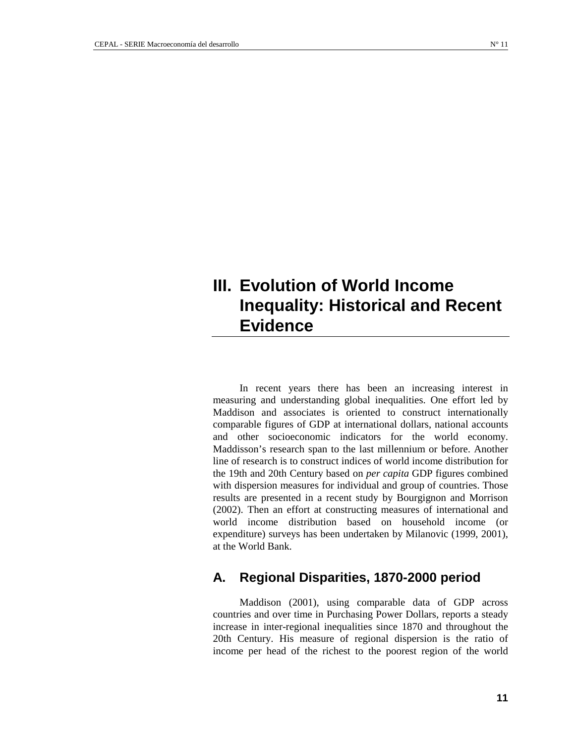# **III. Evolution of World Income Inequality: Historical and Recent Evidence**

In recent years there has been an increasing interest in measuring and understanding global inequalities. One effort led by Maddison and associates is oriented to construct internationally comparable figures of GDP at international dollars, national accounts and other socioeconomic indicators for the world economy. Maddisson's research span to the last millennium or before. Another line of research is to construct indices of world income distribution for the 19th and 20th Century based on *per capita* GDP figures combined with dispersion measures for individual and group of countries. Those results are presented in a recent study by Bourgignon and Morrison (2002). Then an effort at constructing measures of international and world income distribution based on household income (or expenditure) surveys has been undertaken by Milanovic (1999, 2001), at the World Bank.

### **A. Regional Disparities, 1870-2000 period**

Maddison (2001), using comparable data of GDP across countries and over time in Purchasing Power Dollars, reports a steady increase in inter-regional inequalities since 1870 and throughout the 20th Century. His measure of regional dispersion is the ratio of income per head of the richest to the poorest region of the world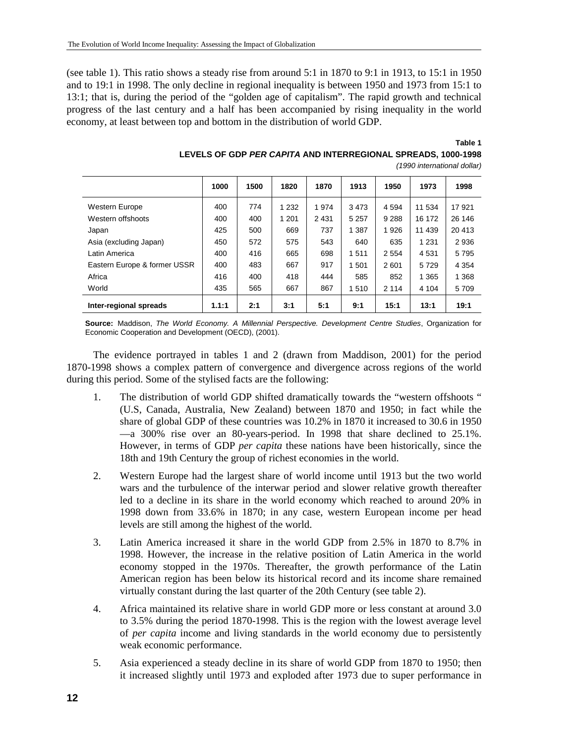(see table 1). This ratio shows a steady rise from around 5:1 in 1870 to 9:1 in 1913, to 15:1 in 1950 and to 19:1 in 1998. The only decline in regional inequality is between 1950 and 1973 from 15:1 to 13:1; that is, during the period of the "golden age of capitalism". The rapid growth and technical progress of the last century and a half has been accompanied by rising inequality in the world economy, at least between top and bottom in the distribution of world GDP.

#### **Table 1 LEVELS OF GDP** *PER CAPITA* **AND INTERREGIONAL SPREADS, 1000-1998**

| 1000 | 1500 | 1820 | 1870 | 1913 | 1950 | 1973 | 1998                                                                 |
|------|------|------|------|------|------|------|----------------------------------------------------------------------|
|      |      |      |      |      |      |      | (1990 international dollar)                                          |
|      |      |      |      |      |      |      | LEVELS OF GDP <i>PER CAPITA</i> AND INTERREGIONAL SPREADS. 1000-1998 |

|                              | 1000  | 1500 | 1820    | 1870    | 1913    | 1950    | 1973    | 1998    |
|------------------------------|-------|------|---------|---------|---------|---------|---------|---------|
| <b>Western Europe</b>        | 400   | 774  | 1 2 3 2 | 1974    | 3473    | 4 5 9 4 | 11 534  | 17921   |
| Western offshoots            | 400   | 400  | 1 2 0 1 | 2 4 3 1 | 5 2 5 7 | 9 2 8 8 | 16 172  | 26 14 6 |
| Japan                        | 425   | 500  | 669     | 737     | 1 3 8 7 | 1926    | 11 439  | 20 413  |
| Asia (excluding Japan)       | 450   | 572  | 575     | 543     | 640     | 635     | 1 2 3 1 | 2936    |
| Latin America                | 400   | 416  | 665     | 698     | 1511    | 2 5 5 4 | 4531    | 5795    |
| Eastern Europe & former USSR | 400   | 483  | 667     | 917     | 501     | 2601    | 5729    | 4 3 5 4 |
| Africa                       | 416   | 400  | 418     | 444     | 585     | 852     | 1 3 6 5 | 1 3 6 8 |
| World                        | 435   | 565  | 667     | 867     | 1510    | 2 1 1 4 | 4 1 0 4 | 5709    |
| Inter-regional spreads       | 1.1:1 | 2:1  | 3:1     | 5:1     | 9:1     | 15:1    | 13:1    | 19:1    |

**Source:** Maddison, *The World Economy. A Millennial Perspective. Development Centre Studies*, Organization for Economic Cooperation and Development (OECD), (2001).

The evidence portrayed in tables 1 and 2 (drawn from Maddison, 2001) for the period 1870-1998 shows a complex pattern of convergence and divergence across regions of the world during this period. Some of the stylised facts are the following:

- 1. The distribution of world GDP shifted dramatically towards the "western offshoots " (U.S, Canada, Australia, New Zealand) between 1870 and 1950; in fact while the share of global GDP of these countries was 10.2% in 1870 it increased to 30.6 in 1950 —a 300% rise over an 80-years-period. In 1998 that share declined to 25.1%. However, in terms of GDP *per capita* these nations have been historically, since the 18th and 19th Century the group of richest economies in the world.
- 2. Western Europe had the largest share of world income until 1913 but the two world wars and the turbulence of the interwar period and slower relative growth thereafter led to a decline in its share in the world economy which reached to around 20% in 1998 down from 33.6% in 1870; in any case, western European income per head levels are still among the highest of the world.
- 3. Latin America increased it share in the world GDP from 2.5% in 1870 to 8.7% in 1998. However, the increase in the relative position of Latin America in the world economy stopped in the 1970s. Thereafter, the growth performance of the Latin American region has been below its historical record and its income share remained virtually constant during the last quarter of the 20th Century (see table 2).
- 4. Africa maintained its relative share in world GDP more or less constant at around 3.0 to 3.5% during the period 1870-1998. This is the region with the lowest average level of *per capita* income and living standards in the world economy due to persistently weak economic performance.
- 5. Asia experienced a steady decline in its share of world GDP from 1870 to 1950; then it increased slightly until 1973 and exploded after 1973 due to super performance in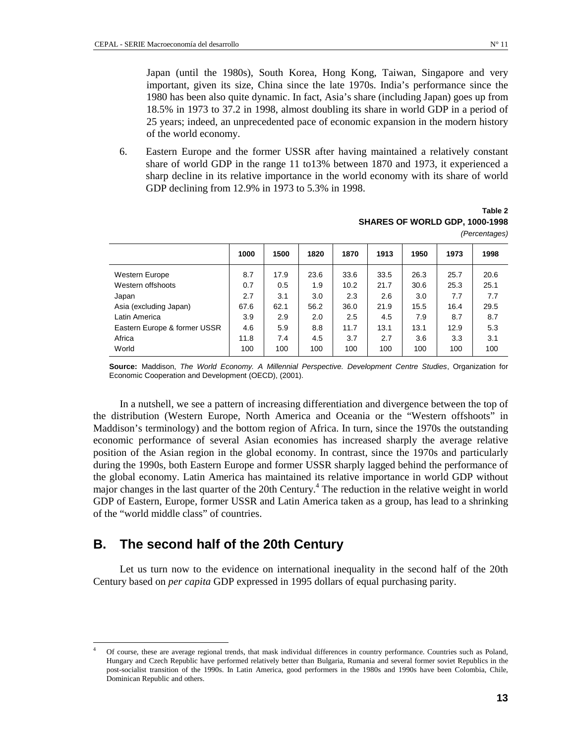Japan (until the 1980s), South Korea, Hong Kong, Taiwan, Singapore and very important, given its size, China since the late 1970s. India's performance since the 1980 has been also quite dynamic. In fact, Asia's share (including Japan) goes up from 18.5% in 1973 to 37.2 in 1998, almost doubling its share in world GDP in a period of 25 years; indeed, an unprecedented pace of economic expansion in the modern history of the world economy.

6. Eastern Europe and the former USSR after having maintained a relatively constant share of world GDP in the range 11 to13% between 1870 and 1973, it experienced a sharp decline in its relative importance in the world economy with its share of world GDP declining from 12.9% in 1973 to 5.3% in 1998.

#### **Table 2 SHARES OF WORLD GDP, 1000-1998**  *(Percentages)*

|                              | 1000 | 1500 | 1820 | 1870 | 1913 | 1950 | 1973 | 1998 |
|------------------------------|------|------|------|------|------|------|------|------|
| Western Europe               | 8.7  | 17.9 | 23.6 | 33.6 | 33.5 | 26.3 | 25.7 | 20.6 |
| Western offshoots            | 0.7  | 0.5  | 1.9  | 10.2 | 21.7 | 30.6 | 25.3 | 25.1 |
| Japan                        | 2.7  | 3.1  | 3.0  | 2.3  | 2.6  | 3.0  | 7.7  | 7.7  |
| Asia (excluding Japan)       | 67.6 | 62.1 | 56.2 | 36.0 | 21.9 | 15.5 | 16.4 | 29.5 |
| Latin America                | 3.9  | 2.9  | 2.0  | 2.5  | 4.5  | 7.9  | 8.7  | 8.7  |
| Eastern Europe & former USSR | 4.6  | 5.9  | 8.8  | 11.7 | 13.1 | 13.1 | 12.9 | 5.3  |
| Africa                       | 11.8 | 7.4  | 4.5  | 3.7  | 2.7  | 3.6  | 3.3  | 3.1  |
| World                        | 100  | 100  | 100  | 100  | 100  | 100  | 100  | 100  |

**Source:** Maddison, *The World Economy. A Millennial Perspective. Development Centre Studies*, Organization for Economic Cooperation and Development (OECD), (2001).

In a nutshell, we see a pattern of increasing differentiation and divergence between the top of the distribution (Western Europe, North America and Oceania or the "Western offshoots" in Maddison's terminology) and the bottom region of Africa. In turn, since the 1970s the outstanding economic performance of several Asian economies has increased sharply the average relative position of the Asian region in the global economy. In contrast, since the 1970s and particularly during the 1990s, both Eastern Europe and former USSR sharply lagged behind the performance of the global economy. Latin America has maintained its relative importance in world GDP without major changes in the last quarter of the 20th Century.<sup>4</sup> The reduction in the relative weight in world GDP of Eastern, Europe, former USSR and Latin America taken as a group, has lead to a shrinking of the "world middle class" of countries.

### **B. The second half of the 20th Century**

 $\overline{a}$ 

Let us turn now to the evidence on international inequality in the second half of the 20th Century based on *per capita* GDP expressed in 1995 dollars of equal purchasing parity.

<sup>4</sup> Of course, these are average regional trends, that mask individual differences in country performance. Countries such as Poland, Hungary and Czech Republic have performed relatively better than Bulgaria, Rumania and several former soviet Republics in the post-socialist transition of the 1990s. In Latin America, good performers in the 1980s and 1990s have been Colombia, Chile, Dominican Republic and others.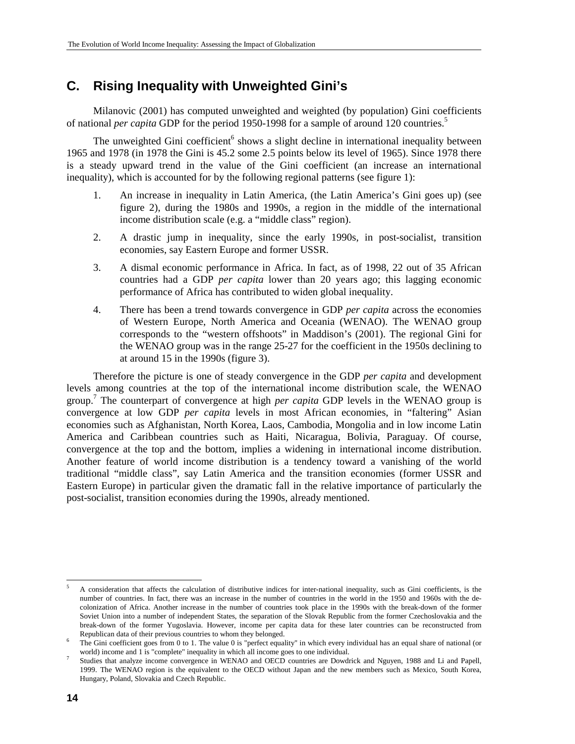### **C. Rising Inequality with Unweighted Gini's**

Milanovic (2001) has computed unweighted and weighted (by population) Gini coefficients of national *per capita* GDP for the period 1950-1998 for a sample of around 120 countries.<sup>5</sup>

The unweighted Gini coefficient<sup>6</sup> shows a slight decline in international inequality between 1965 and 1978 (in 1978 the Gini is 45.2 some 2.5 points below its level of 1965). Since 1978 there is a steady upward trend in the value of the Gini coefficient (an increase an international inequality), which is accounted for by the following regional patterns (see figure 1):

- 1. An increase in inequality in Latin America, (the Latin America's Gini goes up) (see figure 2), during the 1980s and 1990s, a region in the middle of the international income distribution scale (e.g. a "middle class" region).
- 2. A drastic jump in inequality, since the early 1990s, in post-socialist, transition economies, say Eastern Europe and former USSR.
- 3. A dismal economic performance in Africa. In fact, as of 1998, 22 out of 35 African countries had a GDP *per capita* lower than 20 years ago; this lagging economic performance of Africa has contributed to widen global inequality.
- 4. There has been a trend towards convergence in GDP *per capita* across the economies of Western Europe, North America and Oceania (WENAO). The WENAO group corresponds to the "western offshoots" in Maddison's (2001). The regional Gini for the WENAO group was in the range 25-27 for the coefficient in the 1950s declining to at around 15 in the 1990s (figure 3).

Therefore the picture is one of steady convergence in the GDP *per capita* and development levels among countries at the top of the international income distribution scale, the WENAO group. 7 The counterpart of convergence at high *per capita* GDP levels in the WENAO group is convergence at low GDP *per capita* levels in most African economies, in "faltering" Asian economies such as Afghanistan, North Korea, Laos, Cambodia, Mongolia and in low income Latin America and Caribbean countries such as Haiti, Nicaragua, Bolivia, Paraguay. Of course, convergence at the top and the bottom, implies a widening in international income distribution. Another feature of world income distribution is a tendency toward a vanishing of the world traditional "middle class", say Latin America and the transition economies (former USSR and Eastern Europe) in particular given the dramatic fall in the relative importance of particularly the post-socialist, transition economies during the 1990s, already mentioned.

 5 A consideration that affects the calculation of distributive indices for inter-national inequality, such as Gini coefficients, is the number of countries. In fact, there was an increase in the number of countries in the world in the 1950 and 1960s with the decolonization of Africa. Another increase in the number of countries took place in the 1990s with the break-down of the former Soviet Union into a number of independent States, the separation of the Slovak Republic from the former Czechoslovakia and the break-down of the former Yugoslavia. However, income per capita data for these later countries can be reconstructed from Republican data of their previous countries to whom they belonged.

The Gini coefficient goes from 0 to 1. The value 0 is "perfect equality" in which every individual has an equal share of national (or world) income and 1 is "complete" inequality in which all income goes to one individual. 7

Studies that analyze income convergence in WENAO and OECD countries are Dowdrick and Nguyen, 1988 and Li and Papell, 1999. The WENAO region is the equivalent to the OECD without Japan and the new members such as Mexico, South Korea, Hungary, Poland, Slovakia and Czech Republic.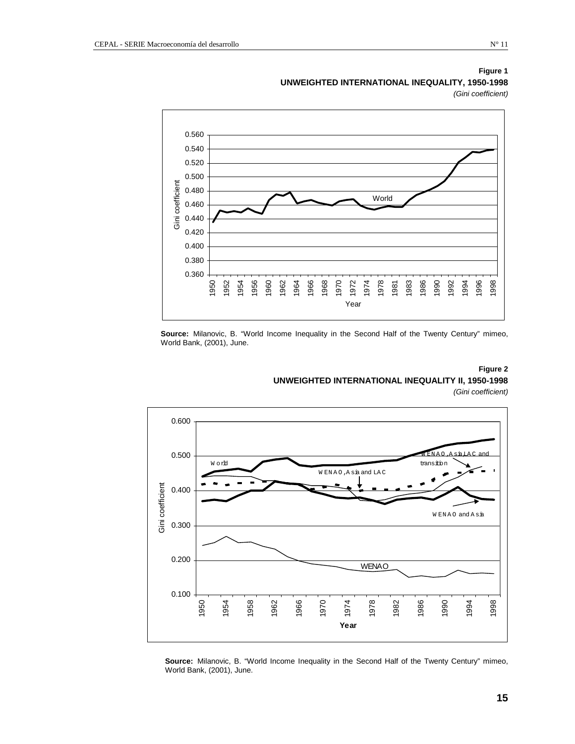#### 0.560 0.540 0.520 0.500 Gini coefficient Gini coefficient 0.480 World 0.460 0.440 0.420 0.400 0.380 0.360 1956 1966 1970 1974 1978 1983 1986 1990 1998 1950 1952 1960 1962 1968 1972 1992 1996 1954 1964 1981 1994 Year

#### **Figure 1 UNWEIGHTED INTERNATIONAL INEQUALITY, 1950-1998**  *(Gini coefficient)*

**Source:** Milanovic, B. "World Income Inequality in the Second Half of the Twenty Century" mimeo, World Bank, (2001), June.

# **UNWEIGHTED INTERNATIONAL INEQUALITY II, 1950-1998**

*(Gini coefficient)* 



**Source:** Milanovic, B. "World Income Inequality in the Second Half of the Twenty Century" mimeo, World Bank, (2001), June.

# **Figure 2**

**15**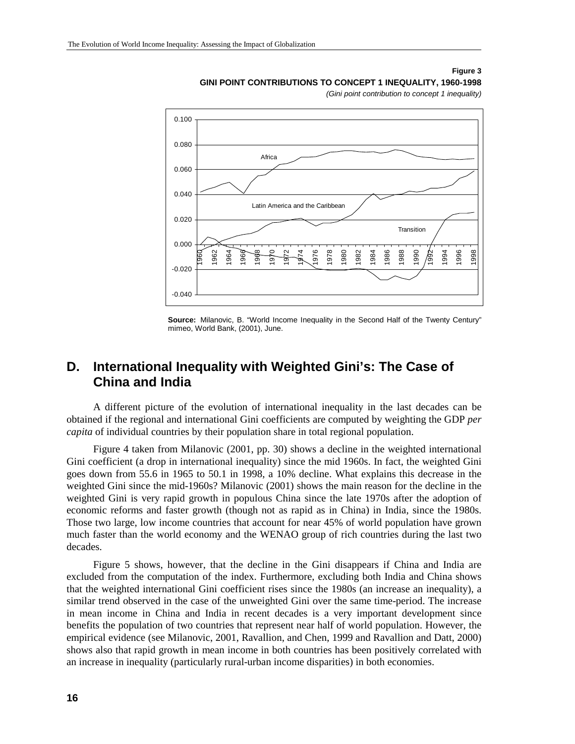#### **Figure 3**

**GINI POINT CONTRIBUTIONS TO CONCEPT 1 INEQUALITY, 1960-1998** 

*(Gini point contribution to concept 1 inequality)* 



**Source:** Milanovic, B. "World Income Inequality in the Second Half of the Twenty Century" mimeo, World Bank, (2001), June.

### **D. International Inequality with Weighted Gini's: The Case of China and India**

A different picture of the evolution of international inequality in the last decades can be obtained if the regional and international Gini coefficients are computed by weighting the GDP *per capita* of individual countries by their population share in total regional population.

Figure 4 taken from Milanovic (2001, pp. 30) shows a decline in the weighted international Gini coefficient (a drop in international inequality) since the mid 1960s. In fact, the weighted Gini goes down from 55.6 in 1965 to 50.1 in 1998, a 10% decline. What explains this decrease in the weighted Gini since the mid-1960s? Milanovic (2001) shows the main reason for the decline in the weighted Gini is very rapid growth in populous China since the late 1970s after the adoption of economic reforms and faster growth (though not as rapid as in China) in India, since the 1980s. Those two large, low income countries that account for near 45% of world population have grown much faster than the world economy and the WENAO group of rich countries during the last two decades.

Figure 5 shows, however, that the decline in the Gini disappears if China and India are excluded from the computation of the index. Furthermore, excluding both India and China shows that the weighted international Gini coefficient rises since the 1980s (an increase an inequality), a similar trend observed in the case of the unweighted Gini over the same time-period. The increase in mean income in China and India in recent decades is a very important development since benefits the population of two countries that represent near half of world population. However, the empirical evidence (see Milanovic, 2001, Ravallion, and Chen, 1999 and Ravallion and Datt, 2000) shows also that rapid growth in mean income in both countries has been positively correlated with an increase in inequality (particularly rural-urban income disparities) in both economies.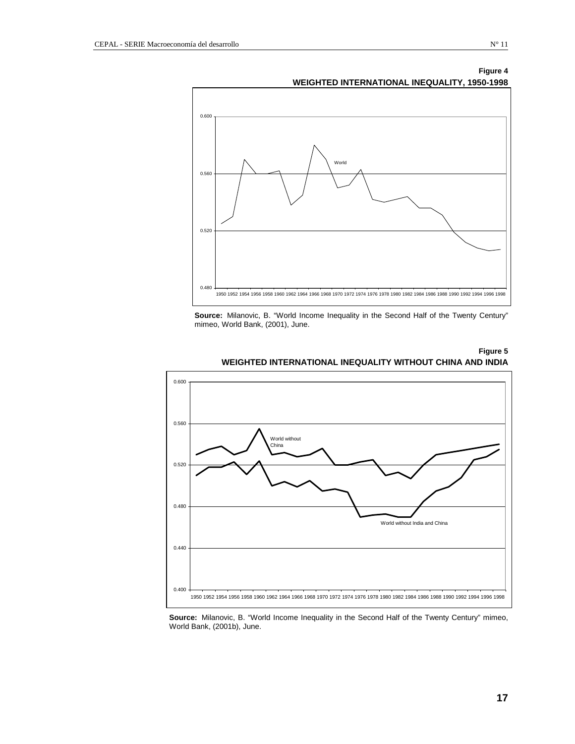#### **Figure 4**



**WEIGHTED INTERNATIONAL INEQUALITY, 1950-1998** 

**Source:** Milanovic, B. "World Income Inequality in the Second Half of the Twenty Century" mimeo, World Bank, (2001), June.



#### **Figure 5 WEIGHTED INTERNATIONAL INEQUALITY WITHOUT CHINA AND INDIA**

**Source:** Milanovic, B. "World Income Inequality in the Second Half of the Twenty Century" mimeo, World Bank, (2001b), June.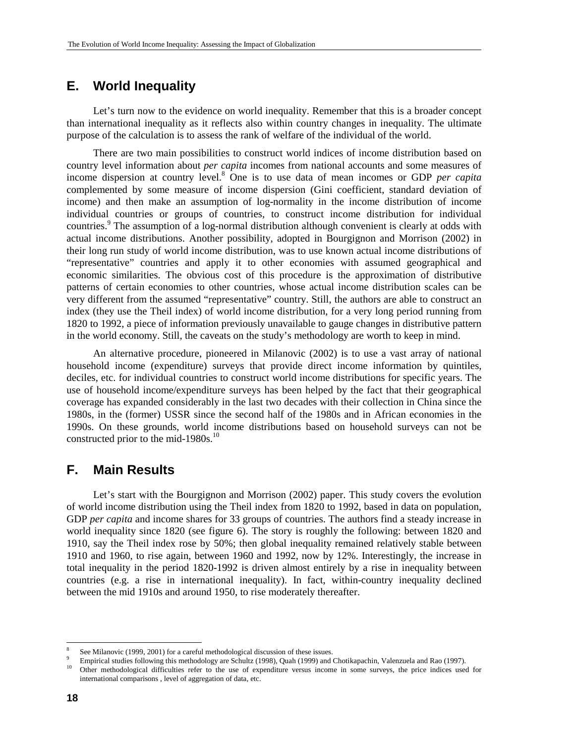### **E. World Inequality**

Let's turn now to the evidence on world inequality. Remember that this is a broader concept than international inequality as it reflects also within country changes in inequality. The ultimate purpose of the calculation is to assess the rank of welfare of the individual of the world.

There are two main possibilities to construct world indices of income distribution based on country level information about *per capita* incomes from national accounts and some measures of income dispersion at country level.8 One is to use data of mean incomes or GDP *per capita* complemented by some measure of income dispersion (Gini coefficient, standard deviation of income) and then make an assumption of log-normality in the income distribution of income individual countries or groups of countries, to construct income distribution for individual countries.<sup>9</sup> The assumption of a log-normal distribution although convenient is clearly at odds with actual income distributions. Another possibility, adopted in Bourgignon and Morrison (2002) in their long run study of world income distribution, was to use known actual income distributions of "representative" countries and apply it to other economies with assumed geographical and economic similarities. The obvious cost of this procedure is the approximation of distributive patterns of certain economies to other countries, whose actual income distribution scales can be very different from the assumed "representative" country. Still, the authors are able to construct an index (they use the Theil index) of world income distribution, for a very long period running from 1820 to 1992, a piece of information previously unavailable to gauge changes in distributive pattern in the world economy. Still, the caveats on the study's methodology are worth to keep in mind.

An alternative procedure, pioneered in Milanovic (2002) is to use a vast array of national household income (expenditure) surveys that provide direct income information by quintiles, deciles, etc. for individual countries to construct world income distributions for specific years. The use of household income/expenditure surveys has been helped by the fact that their geographical coverage has expanded considerably in the last two decades with their collection in China since the 1980s, in the (former) USSR since the second half of the 1980s and in African economies in the 1990s. On these grounds, world income distributions based on household surveys can not be constructed prior to the mid-1980s. $^{10}$ 

### **F. Main Results**

Let's start with the Bourgignon and Morrison (2002) paper. This study covers the evolution of world income distribution using the Theil index from 1820 to 1992, based in data on population, GDP *per capita* and income shares for 33 groups of countries. The authors find a steady increase in world inequality since 1820 (see figure 6). The story is roughly the following: between 1820 and 1910, say the Theil index rose by 50%; then global inequality remained relatively stable between 1910 and 1960, to rise again, between 1960 and 1992, now by 12%. Interestingly, the increase in total inequality in the period 1820-1992 is driven almost entirely by a rise in inequality between countries (e.g. a rise in international inequality). In fact, within-country inequality declined between the mid 1910s and around 1950, to rise moderately thereafter.

l

<sup>8</sup> See Milanovic (1999, 2001) for a careful methodological discussion of these issues.

<sup>9</sup> Empirical studies following this methodology are Schultz (1998), Quah (1999) and Chotikapachin, Valenzuela and Rao (1997).

<sup>10</sup> Other methodological difficulties refer to the use of expenditure versus income in some surveys, the price indices used for international comparisons , level of aggregation of data, etc.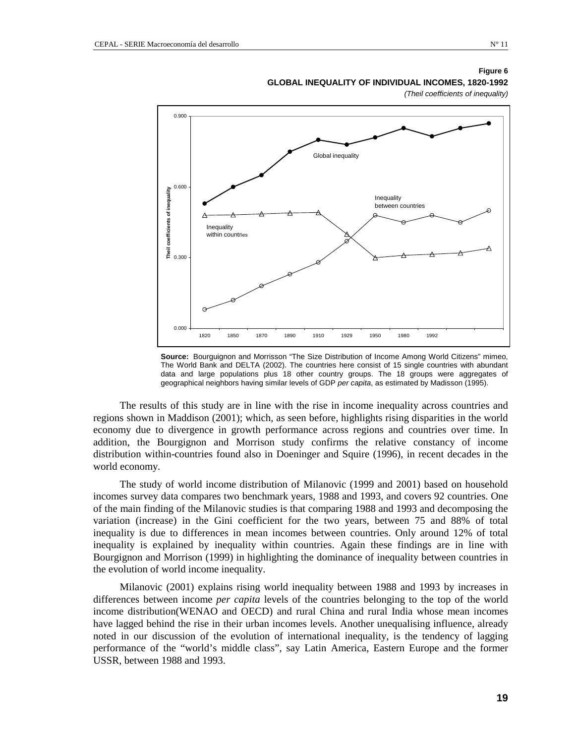#### **Figure 6**

**GLOBAL INEQUALITY OF INDIVIDUAL INCOMES, 1820-1992** 

*(Theil coefficients of inequality)* 



**Source:** Bourguignon and Morrisson "The Size Distribution of Income Among World Citizens" mimeo, The World Bank and DELTA (2002). The countries here consist of 15 single countries with abundant data and large populations plus 18 other country groups. The 18 groups were aggregates of geographical neighbors having similar levels of GDP *per capita*, as estimated by Madisson (1995).

The results of this study are in line with the rise in income inequality across countries and regions shown in Maddison (2001); which, as seen before, highlights rising disparities in the world economy due to divergence in growth performance across regions and countries over time. In addition, the Bourgignon and Morrison study confirms the relative constancy of income distribution within-countries found also in Doeninger and Squire (1996), in recent decades in the world economy.

The study of world income distribution of Milanovic (1999 and 2001) based on household incomes survey data compares two benchmark years, 1988 and 1993, and covers 92 countries. One of the main finding of the Milanovic studies is that comparing 1988 and 1993 and decomposing the variation (increase) in the Gini coefficient for the two years, between 75 and 88% of total inequality is due to differences in mean incomes between countries. Only around 12% of total inequality is explained by inequality within countries. Again these findings are in line with Bourgignon and Morrison (1999) in highlighting the dominance of inequality between countries in the evolution of world income inequality.

Milanovic (2001) explains rising world inequality between 1988 and 1993 by increases in differences between income *per capita* levels of the countries belonging to the top of the world income distribution(WENAO and OECD) and rural China and rural India whose mean incomes have lagged behind the rise in their urban incomes levels. Another unequalising influence, already noted in our discussion of the evolution of international inequality, is the tendency of lagging performance of the "world's middle class", say Latin America, Eastern Europe and the former USSR, between 1988 and 1993.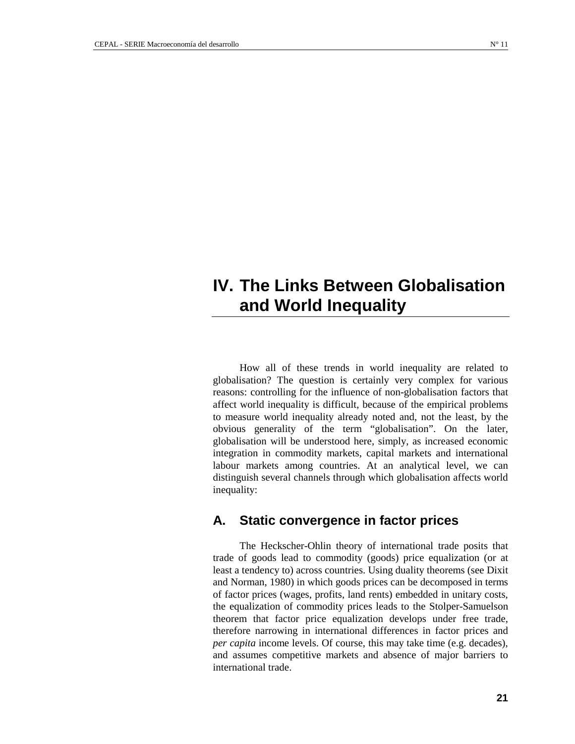# **IV. The Links Between Globalisation and World Inequality**

How all of these trends in world inequality are related to globalisation? The question is certainly very complex for various reasons: controlling for the influence of non-globalisation factors that affect world inequality is difficult, because of the empirical problems to measure world inequality already noted and, not the least, by the obvious generality of the term "globalisation". On the later, globalisation will be understood here, simply, as increased economic integration in commodity markets, capital markets and international labour markets among countries. At an analytical level, we can distinguish several channels through which globalisation affects world inequality:

### **A. Static convergence in factor prices**

The Heckscher-Ohlin theory of international trade posits that trade of goods lead to commodity (goods) price equalization (or at least a tendency to) across countries. Using duality theorems (see Dixit and Norman, 1980) in which goods prices can be decomposed in terms of factor prices (wages, profits, land rents) embedded in unitary costs, the equalization of commodity prices leads to the Stolper-Samuelson theorem that factor price equalization develops under free trade, therefore narrowing in international differences in factor prices and *per capita* income levels. Of course, this may take time (e.g. decades), and assumes competitive markets and absence of major barriers to international trade.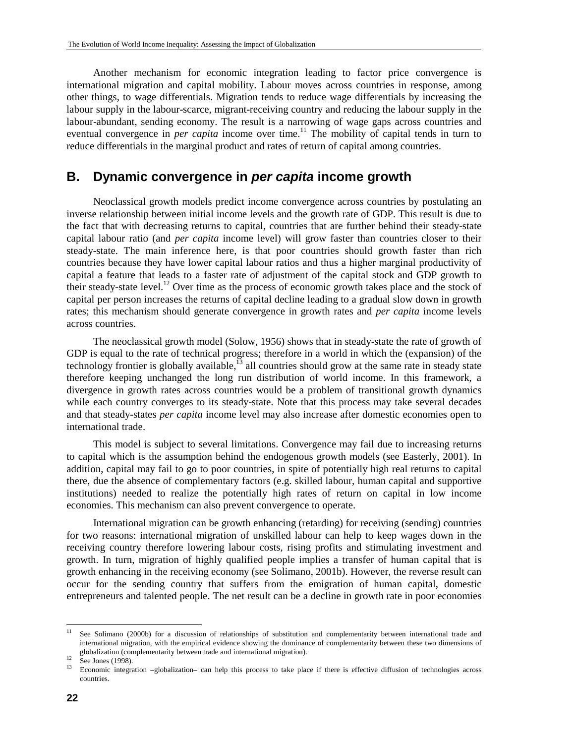Another mechanism for economic integration leading to factor price convergence is international migration and capital mobility. Labour moves across countries in response, among other things, to wage differentials. Migration tends to reduce wage differentials by increasing the labour supply in the labour-scarce, migrant-receiving country and reducing the labour supply in the labour-abundant, sending economy. The result is a narrowing of wage gaps across countries and eventual convergence in *per capita* income over time.<sup>11</sup> The mobility of capital tends in turn to reduce differentials in the marginal product and rates of return of capital among countries.

### **B. Dynamic convergence in** *per capita* **income growth**

Neoclassical growth models predict income convergence across countries by postulating an inverse relationship between initial income levels and the growth rate of GDP. This result is due to the fact that with decreasing returns to capital, countries that are further behind their steady-state capital labour ratio (and *per capita* income level) will grow faster than countries closer to their steady-state. The main inference here, is that poor countries should growth faster than rich countries because they have lower capital labour ratios and thus a higher marginal productivity of capital a feature that leads to a faster rate of adjustment of the capital stock and GDP growth to their steady-state level.<sup>12</sup> Over time as the process of economic growth takes place and the stock of capital per person increases the returns of capital decline leading to a gradual slow down in growth rates; this mechanism should generate convergence in growth rates and *per capita* income levels across countries.

The neoclassical growth model (Solow, 1956) shows that in steady-state the rate of growth of GDP is equal to the rate of technical progress; therefore in a world in which the (expansion) of the technology frontier is globally available, $^{13}$  all countries should grow at the same rate in steady state therefore keeping unchanged the long run distribution of world income. In this framework, a divergence in growth rates across countries would be a problem of transitional growth dynamics while each country converges to its steady-state. Note that this process may take several decades and that steady-states *per capita* income level may also increase after domestic economies open to international trade.

This model is subject to several limitations. Convergence may fail due to increasing returns to capital which is the assumption behind the endogenous growth models (see Easterly, 2001). In addition, capital may fail to go to poor countries, in spite of potentially high real returns to capital there, due the absence of complementary factors (e.g. skilled labour, human capital and supportive institutions) needed to realize the potentially high rates of return on capital in low income economies. This mechanism can also prevent convergence to operate.

International migration can be growth enhancing (retarding) for receiving (sending) countries for two reasons: international migration of unskilled labour can help to keep wages down in the receiving country therefore lowering labour costs, rising profits and stimulating investment and growth. In turn, migration of highly qualified people implies a transfer of human capital that is growth enhancing in the receiving economy (see Solimano, 2001b). However, the reverse result can occur for the sending country that suffers from the emigration of human capital, domestic entrepreneurs and talented people. The net result can be a decline in growth rate in poor economies

l

<sup>&</sup>lt;sup>11</sup> See Solimano (2000b) for a discussion of relationships of substitution and complementarity between international trade and international migration, with the empirical evidence showing the dominance of complementarity between these two dimensions of globalization (complementarity between trade and international migration).<br>
See Jones (1998).<br>
<sup>13</sup> Economia integration, clabelization, see bela this process to take also

<sup>13</sup> Economic integration –globalization– can help this process to take place if there is effective diffusion of technologies across countries.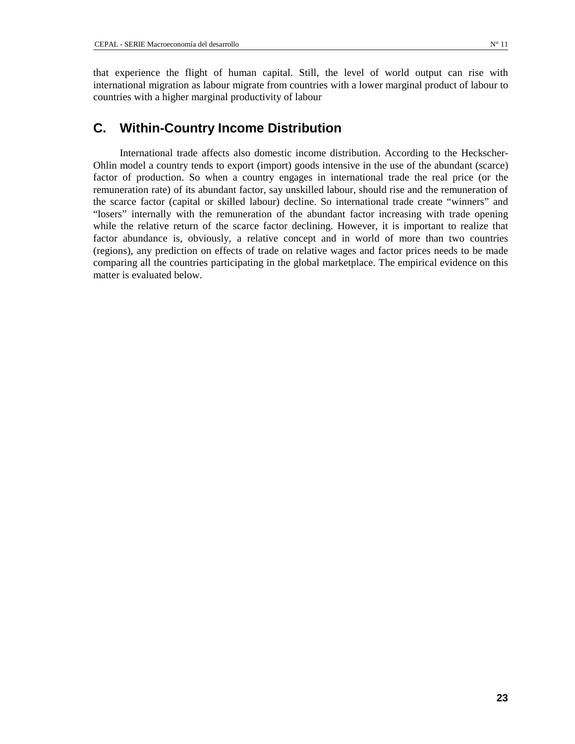### **C. Within-Country Income Distribution**

International trade affects also domestic income distribution. According to the Heckscher-Ohlin model a country tends to export (import) goods intensive in the use of the abundant (scarce) factor of production. So when a country engages in international trade the real price (or the remuneration rate) of its abundant factor, say unskilled labour, should rise and the remuneration of the scarce factor (capital or skilled labour) decline. So international trade create "winners" and "losers" internally with the remuneration of the abundant factor increasing with trade opening while the relative return of the scarce factor declining. However, it is important to realize that factor abundance is, obviously, a relative concept and in world of more than two countries (regions), any prediction on effects of trade on relative wages and factor prices needs to be made comparing all the countries participating in the global marketplace. The empirical evidence on this matter is evaluated below.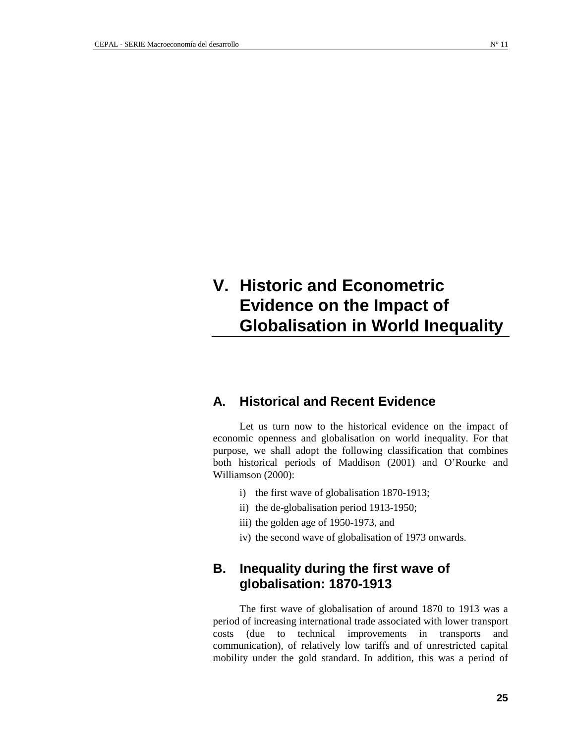# **V. Historic and Econometric Evidence on the Impact of Globalisation in World Inequality**

### **A. Historical and Recent Evidence**

Let us turn now to the historical evidence on the impact of economic openness and globalisation on world inequality. For that purpose, we shall adopt the following classification that combines both historical periods of Maddison (2001) and O'Rourke and Williamson (2000):

- i) the first wave of globalisation 1870-1913;
- ii) the de-globalisation period 1913-1950;
- iii) the golden age of 1950-1973, and
- iv) the second wave of globalisation of 1973 onwards.

### **B. Inequality during the first wave of globalisation: 1870-1913**

The first wave of globalisation of around 1870 to 1913 was a period of increasing international trade associated with lower transport costs (due to technical improvements in transports and communication), of relatively low tariffs and of unrestricted capital mobility under the gold standard. In addition, this was a period of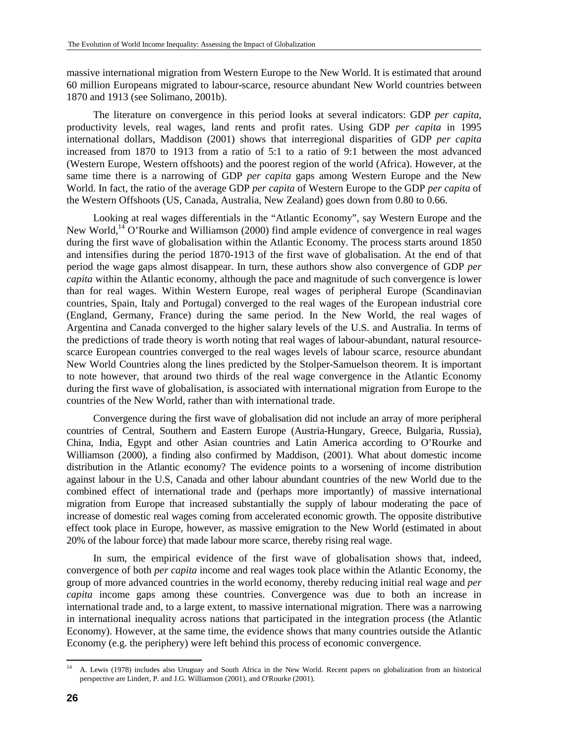massive international migration from Western Europe to the New World. It is estimated that around 60 million Europeans migrated to labour-scarce, resource abundant New World countries between 1870 and 1913 (see Solimano, 2001b).

The literature on convergence in this period looks at several indicators: GDP *per capita*, productivity levels, real wages, land rents and profit rates. Using GDP *per capita* in 1995 international dollars, Maddison (2001) shows that interregional disparities of GDP *per capita* increased from 1870 to 1913 from a ratio of 5:1 to a ratio of 9:1 between the most advanced (Western Europe, Western offshoots) and the poorest region of the world (Africa). However, at the same time there is a narrowing of GDP *per capita* gaps among Western Europe and the New World. In fact, the ratio of the average GDP *per capita* of Western Europe to the GDP *per capita* of the Western Offshoots (US, Canada, Australia, New Zealand) goes down from 0.80 to 0.66.

Looking at real wages differentials in the "Atlantic Economy", say Western Europe and the New World,<sup>14</sup> O'Rourke and Williamson (2000) find ample evidence of convergence in real wages during the first wave of globalisation within the Atlantic Economy. The process starts around 1850 and intensifies during the period 1870-1913 of the first wave of globalisation. At the end of that period the wage gaps almost disappear. In turn, these authors show also convergence of GDP *per capita* within the Atlantic economy, although the pace and magnitude of such convergence is lower than for real wages. Within Western Europe, real wages of peripheral Europe (Scandinavian countries, Spain, Italy and Portugal) converged to the real wages of the European industrial core (England, Germany, France) during the same period. In the New World, the real wages of Argentina and Canada converged to the higher salary levels of the U.S. and Australia. In terms of the predictions of trade theory is worth noting that real wages of labour-abundant, natural resourcescarce European countries converged to the real wages levels of labour scarce, resource abundant New World Countries along the lines predicted by the Stolper-Samuelson theorem. It is important to note however, that around two thirds of the real wage convergence in the Atlantic Economy during the first wave of globalisation, is associated with international migration from Europe to the countries of the New World, rather than with international trade.

Convergence during the first wave of globalisation did not include an array of more peripheral countries of Central, Southern and Eastern Europe (Austria-Hungary, Greece, Bulgaria, Russia), China, India, Egypt and other Asian countries and Latin America according to O'Rourke and Williamson (2000), a finding also confirmed by Maddison, (2001). What about domestic income distribution in the Atlantic economy? The evidence points to a worsening of income distribution against labour in the U.S, Canada and other labour abundant countries of the new World due to the combined effect of international trade and (perhaps more importantly) of massive international migration from Europe that increased substantially the supply of labour moderating the pace of increase of domestic real wages coming from accelerated economic growth. The opposite distributive effect took place in Europe, however, as massive emigration to the New World (estimated in about 20% of the labour force) that made labour more scarce, thereby rising real wage.

In sum, the empirical evidence of the first wave of globalisation shows that, indeed, convergence of both *per capita* income and real wages took place within the Atlantic Economy, the group of more advanced countries in the world economy, thereby reducing initial real wage and *per capita* income gaps among these countries. Convergence was due to both an increase in international trade and, to a large extent, to massive international migration. There was a narrowing in international inequality across nations that participated in the integration process (the Atlantic Economy). However, at the same time, the evidence shows that many countries outside the Atlantic Economy (e.g. the periphery) were left behind this process of economic convergence.

 $14$ 14 A. Lewis (1978) includes also Uruguay and South Africa in the New World. Recent papers on globalization from an historical perspective are Lindert, P. and J.G. Williamson (2001), and O'Rourke (2001).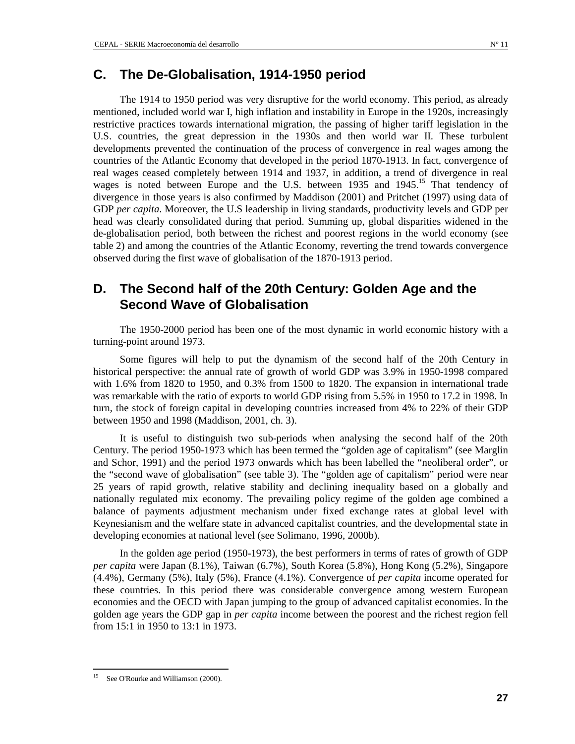### **C. The De-Globalisation, 1914-1950 period**

The 1914 to 1950 period was very disruptive for the world economy. This period, as already mentioned, included world war I, high inflation and instability in Europe in the 1920s, increasingly restrictive practices towards international migration, the passing of higher tariff legislation in the U.S. countries, the great depression in the 1930s and then world war II. These turbulent developments prevented the continuation of the process of convergence in real wages among the countries of the Atlantic Economy that developed in the period 1870-1913. In fact, convergence of real wages ceased completely between 1914 and 1937, in addition, a trend of divergence in real wages is noted between Europe and the U.S. between 1935 and 1945.<sup>15</sup> That tendency of divergence in those years is also confirmed by Maddison (2001) and Pritchet (1997) using data of GDP *per capita*. Moreover, the U.S leadership in living standards, productivity levels and GDP per head was clearly consolidated during that period. Summing up, global disparities widened in the de-globalisation period, both between the richest and poorest regions in the world economy (see table 2) and among the countries of the Atlantic Economy, reverting the trend towards convergence observed during the first wave of globalisation of the 1870-1913 period.

### **D. The Second half of the 20th Century: Golden Age and the Second Wave of Globalisation**

The 1950-2000 period has been one of the most dynamic in world economic history with a turning-point around 1973.

Some figures will help to put the dynamism of the second half of the 20th Century in historical perspective: the annual rate of growth of world GDP was 3.9% in 1950-1998 compared with 1.6% from 1820 to 1950, and 0.3% from 1500 to 1820. The expansion in international trade was remarkable with the ratio of exports to world GDP rising from 5.5% in 1950 to 17.2 in 1998. In turn, the stock of foreign capital in developing countries increased from 4% to 22% of their GDP between 1950 and 1998 (Maddison, 2001, ch. 3).

It is useful to distinguish two sub-periods when analysing the second half of the 20th Century. The period 1950-1973 which has been termed the "golden age of capitalism" (see Marglin and Schor, 1991) and the period 1973 onwards which has been labelled the "neoliberal order", or the "second wave of globalisation" (see table 3). The "golden age of capitalism" period were near 25 years of rapid growth, relative stability and declining inequality based on a globally and nationally regulated mix economy. The prevailing policy regime of the golden age combined a balance of payments adjustment mechanism under fixed exchange rates at global level with Keynesianism and the welfare state in advanced capitalist countries, and the developmental state in developing economies at national level (see Solimano, 1996, 2000b).

In the golden age period (1950-1973), the best performers in terms of rates of growth of GDP *per capita* were Japan (8.1%), Taiwan (6.7%), South Korea (5.8%), Hong Kong (5.2%), Singapore (4.4%), Germany (5%), Italy (5%), France (4.1%). Convergence of *per capita* income operated for these countries. In this period there was considerable convergence among western European economies and the OECD with Japan jumping to the group of advanced capitalist economies. In the golden age years the GDP gap in *per capita* income between the poorest and the richest region fell from 15:1 in 1950 to 13:1 in 1973.

<sup>15</sup> See O'Rourke and Williamson (2000).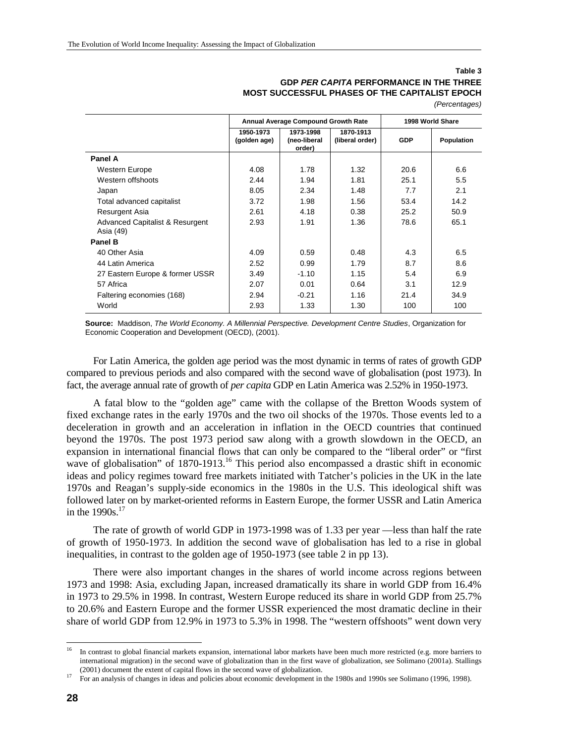#### **Table 3 GDP** *PER CAPITA* **PERFORMANCE IN THE THREE MOST SUCCESSFUL PHASES OF THE CAPITALIST EPOCH**

| (Percentages) |  |
|---------------|--|
|               |  |

|                                                         |                           | Annual Average Compound Growth Rate | 1998 World Share             |            |                   |
|---------------------------------------------------------|---------------------------|-------------------------------------|------------------------------|------------|-------------------|
|                                                         | 1950-1973<br>(golden age) | 1973-1998<br>(neo-liberal<br>order) | 1870-1913<br>(liberal order) | <b>GDP</b> | <b>Population</b> |
| Panel A                                                 |                           |                                     |                              |            |                   |
| Western Europe                                          | 4.08                      | 1.78                                | 1.32                         | 20.6       | 6.6               |
| Western offshoots                                       | 2.44                      | 1.94                                | 1.81                         | 25.1       | 5.5               |
| Japan                                                   | 8.05                      | 2.34                                | 1.48                         | 7.7        | 2.1               |
| Total advanced capitalist                               | 3.72                      | 1.98                                | 1.56                         | 53.4       | 14.2              |
| Resurgent Asia                                          | 2.61                      | 4.18                                | 0.38                         | 25.2       | 50.9              |
| <b>Advanced Capitalist &amp; Resurgent</b><br>Asia (49) | 2.93                      | 1.91                                | 1.36                         | 78.6       | 65.1              |
| Panel B                                                 |                           |                                     |                              |            |                   |
| 40 Other Asia                                           | 4.09                      | 0.59                                | 0.48                         | 4.3        | 6.5               |
| 44 Latin America                                        | 2.52                      | 0.99                                | 1.79                         | 8.7        | 8.6               |
| 27 Eastern Europe & former USSR                         | 3.49                      | $-1.10$                             | 1.15                         | 5.4        | 6.9               |
| 57 Africa                                               | 2.07                      | 0.01                                | 0.64                         | 3.1        | 12.9              |
| Faltering economies (168)                               | 2.94                      | $-0.21$                             | 1.16                         | 21.4       | 34.9              |
| World                                                   | 2.93                      | 1.33                                | 1.30                         | 100        | 100               |

**Source:** Maddison, *The World Economy. A Millennial Perspective. Development Centre Studies*, Organization for Economic Cooperation and Development (OECD), (2001).

For Latin America, the golden age period was the most dynamic in terms of rates of growth GDP compared to previous periods and also compared with the second wave of globalisation (post 1973). In fact, the average annual rate of growth of *per capita* GDP en Latin America was 2.52% in 1950-1973.

A fatal blow to the "golden age" came with the collapse of the Bretton Woods system of fixed exchange rates in the early 1970s and the two oil shocks of the 1970s. Those events led to a deceleration in growth and an acceleration in inflation in the OECD countries that continued beyond the 1970s. The post 1973 period saw along with a growth slowdown in the OECD, an expansion in international financial flows that can only be compared to the "liberal order" or "first wave of globalisation" of 1870-1913.<sup>16</sup> This period also encompassed a drastic shift in economic ideas and policy regimes toward free markets initiated with Tatcher's policies in the UK in the late 1970s and Reagan's supply-side economics in the 1980s in the U.S. This ideological shift was followed later on by market-oriented reforms in Eastern Europe, the former USSR and Latin America in the  $1990s$ <sup>17</sup>

The rate of growth of world GDP in 1973-1998 was of 1.33 per year —less than half the rate of growth of 1950-1973. In addition the second wave of globalisation has led to a rise in global inequalities, in contrast to the golden age of 1950-1973 (see table 2 in pp 13).

There were also important changes in the shares of world income across regions between 1973 and 1998: Asia, excluding Japan, increased dramatically its share in world GDP from 16.4% in 1973 to 29.5% in 1998. In contrast, Western Europe reduced its share in world GDP from 25.7% to 20.6% and Eastern Europe and the former USSR experienced the most dramatic decline in their share of world GDP from 12.9% in 1973 to 5.3% in 1998. The "western offshoots" went down very

l

<sup>16</sup> In contrast to global financial markets expansion, international labor markets have been much more restricted (e.g. more barriers to international migration) in the second wave of globalization than in the first wave of globalization, see Solimano (2001a). Stallings

<sup>(2001)</sup> document the extent of capital flows in the second wave of globalization. 17 For an analysis of changes in ideas and policies about economic development in the 1980s and 1990s see Solimano (1996, 1998).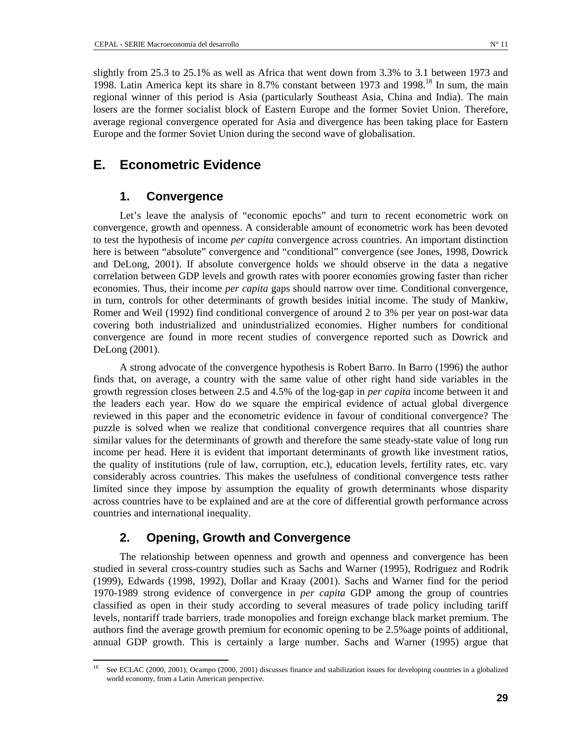slightly from 25.3 to 25.1% as well as Africa that went down from 3.3% to 3.1 between 1973 and 1998. Latin America kept its share in 8.7% constant between 1973 and 1998.<sup>18</sup> In sum, the main regional winner of this period is Asia (particularly Southeast Asia, China and India). The main losers are the former socialist block of Eastern Europe and the former Soviet Union. Therefore, average regional convergence operated for Asia and divergence has been taking place for Eastern Europe and the former Soviet Union during the second wave of globalisation.

### **E. Econometric Evidence**

### **1. Convergence**

Let's leave the analysis of "economic epochs" and turn to recent econometric work on convergence, growth and openness. A considerable amount of econometric work has been devoted to test the hypothesis of income *per capita* convergence across countries. An important distinction here is between "absolute" convergence and "conditional" convergence (see Jones, 1998, Dowrick and DeLong, 2001). If absolute convergence holds we should observe in the data a negative correlation between GDP levels and growth rates with poorer economies growing faster than richer economies. Thus, their income *per capita* gaps should narrow over time. Conditional convergence, in turn, controls for other determinants of growth besides initial income. The study of Mankiw, Romer and Weil (1992) find conditional convergence of around 2 to 3% per year on post-war data covering both industrialized and unindustrialized economies. Higher numbers for conditional convergence are found in more recent studies of convergence reported such as Dowrick and DeLong (2001).

A strong advocate of the convergence hypothesis is Robert Barro. In Barro (1996) the author finds that, on average, a country with the same value of other right hand side variables in the growth regression closes between 2.5 and 4.5% of the log-gap in *per capita* income between it and the leaders each year. How do we square the empirical evidence of actual global divergence reviewed in this paper and the econometric evidence in favour of conditional convergence? The puzzle is solved when we realize that conditional convergence requires that all countries share similar values for the determinants of growth and therefore the same steady-state value of long run income per head. Here it is evident that important determinants of growth like investment ratios, the quality of institutions (rule of law, corruption, etc.), education levels, fertility rates, etc. vary considerably across countries. This makes the usefulness of conditional convergence tests rather limited since they impose by assumption the equality of growth determinants whose disparity across countries have to be explained and are at the core of differential growth performance across countries and international inequality.

### **2. Opening, Growth and Convergence**

The relationship between openness and growth and openness and convergence has been studied in several cross-country studies such as Sachs and Warner (1995), Rodriguez and Rodrik (1999), Edwards (1998, 1992), Dollar and Kraay (2001). Sachs and Warner find for the period 1970-1989 strong evidence of convergence in *per capita* GDP among the group of countries classified as open in their study according to several measures of trade policy including tariff levels, nontariff trade barriers, trade monopolies and foreign exchange black market premium. The authors find the average growth premium for economic opening to be 2.5%age points of additional, annual GDP growth. This is certainly a large number. Sachs and Warner (1995) argue that

See ECLAC (2000, 2001), Ocampo (2000, 2001) discusses finance and stabilization issues for developing countries in a globalized world economy, from a Latin American perspective.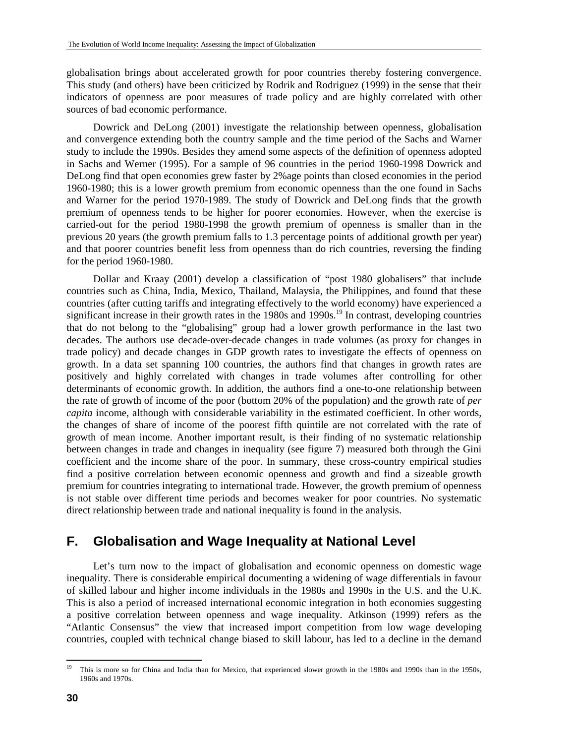globalisation brings about accelerated growth for poor countries thereby fostering convergence. This study (and others) have been criticized by Rodrik and Rodriguez (1999) in the sense that their indicators of openness are poor measures of trade policy and are highly correlated with other sources of bad economic performance.

Dowrick and DeLong (2001) investigate the relationship between openness, globalisation and convergence extending both the country sample and the time period of the Sachs and Warner study to include the 1990s. Besides they amend some aspects of the definition of openness adopted in Sachs and Werner (1995). For a sample of 96 countries in the period 1960-1998 Dowrick and DeLong find that open economies grew faster by 2%age points than closed economies in the period 1960-1980; this is a lower growth premium from economic openness than the one found in Sachs and Warner for the period 1970-1989. The study of Dowrick and DeLong finds that the growth premium of openness tends to be higher for poorer economies. However, when the exercise is carried-out for the period 1980-1998 the growth premium of openness is smaller than in the previous 20 years (the growth premium falls to 1.3 percentage points of additional growth per year) and that poorer countries benefit less from openness than do rich countries, reversing the finding for the period 1960-1980.

Dollar and Kraay (2001) develop a classification of "post 1980 globalisers" that include countries such as China, India, Mexico, Thailand, Malaysia, the Philippines, and found that these countries (after cutting tariffs and integrating effectively to the world economy) have experienced a significant increase in their growth rates in the 1980s and 1990s.<sup>19</sup> In contrast, developing countries that do not belong to the "globalising" group had a lower growth performance in the last two decades. The authors use decade-over-decade changes in trade volumes (as proxy for changes in trade policy) and decade changes in GDP growth rates to investigate the effects of openness on growth. In a data set spanning 100 countries, the authors find that changes in growth rates are positively and highly correlated with changes in trade volumes after controlling for other determinants of economic growth. In addition, the authors find a one-to-one relationship between the rate of growth of income of the poor (bottom 20% of the population) and the growth rate of *per capita* income, although with considerable variability in the estimated coefficient. In other words, the changes of share of income of the poorest fifth quintile are not correlated with the rate of growth of mean income. Another important result, is their finding of no systematic relationship between changes in trade and changes in inequality (see figure 7) measured both through the Gini coefficient and the income share of the poor. In summary, these cross-country empirical studies find a positive correlation between economic openness and growth and find a sizeable growth premium for countries integrating to international trade. However, the growth premium of openness is not stable over different time periods and becomes weaker for poor countries. No systematic direct relationship between trade and national inequality is found in the analysis.

### **F. Globalisation and Wage Inequality at National Level**

Let's turn now to the impact of globalisation and economic openness on domestic wage inequality. There is considerable empirical documenting a widening of wage differentials in favour of skilled labour and higher income individuals in the 1980s and 1990s in the U.S. and the U.K. This is also a period of increased international economic integration in both economies suggesting a positive correlation between openness and wage inequality. Atkinson (1999) refers as the "Atlantic Consensus" the view that increased import competition from low wage developing countries, coupled with technical change biased to skill labour, has led to a decline in the demand

 $19$ 19 This is more so for China and India than for Mexico, that experienced slower growth in the 1980s and 1990s than in the 1950s, 1960s and 1970s.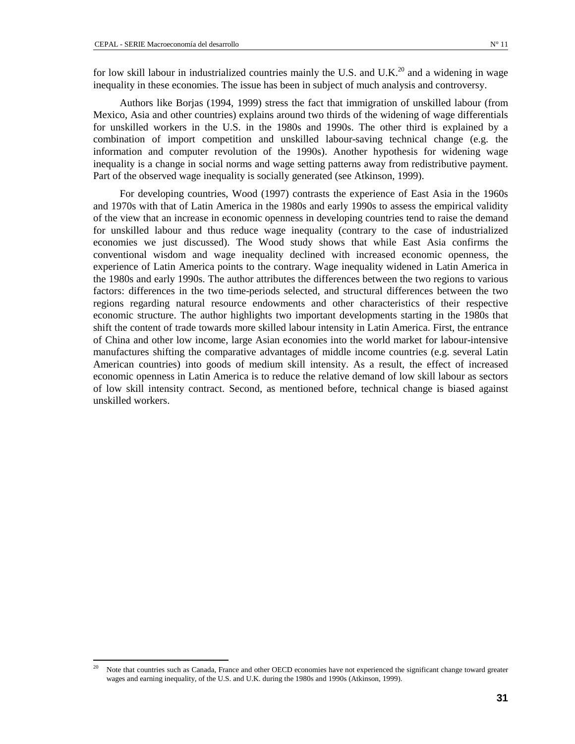Authors like Borjas (1994, 1999) stress the fact that immigration of unskilled labour (from Mexico, Asia and other countries) explains around two thirds of the widening of wage differentials for unskilled workers in the U.S. in the 1980s and 1990s. The other third is explained by a combination of import competition and unskilled labour-saving technical change (e.g. the information and computer revolution of the 1990s). Another hypothesis for widening wage inequality is a change in social norms and wage setting patterns away from redistributive payment. Part of the observed wage inequality is socially generated (see Atkinson, 1999).

For developing countries, Wood (1997) contrasts the experience of East Asia in the 1960s and 1970s with that of Latin America in the 1980s and early 1990s to assess the empirical validity of the view that an increase in economic openness in developing countries tend to raise the demand for unskilled labour and thus reduce wage inequality (contrary to the case of industrialized economies we just discussed). The Wood study shows that while East Asia confirms the conventional wisdom and wage inequality declined with increased economic openness, the experience of Latin America points to the contrary. Wage inequality widened in Latin America in the 1980s and early 1990s. The author attributes the differences between the two regions to various factors: differences in the two time-periods selected, and structural differences between the two regions regarding natural resource endowments and other characteristics of their respective economic structure. The author highlights two important developments starting in the 1980s that shift the content of trade towards more skilled labour intensity in Latin America. First, the entrance of China and other low income, large Asian economies into the world market for labour-intensive manufactures shifting the comparative advantages of middle income countries (e.g. several Latin American countries) into goods of medium skill intensity. As a result, the effect of increased economic openness in Latin America is to reduce the relative demand of low skill labour as sectors of low skill intensity contract. Second, as mentioned before, technical change is biased against unskilled workers.

<sup>20</sup> Note that countries such as Canada, France and other OECD economies have not experienced the significant change toward greater wages and earning inequality, of the U.S. and U.K. during the 1980s and 1990s (Atkinson, 1999).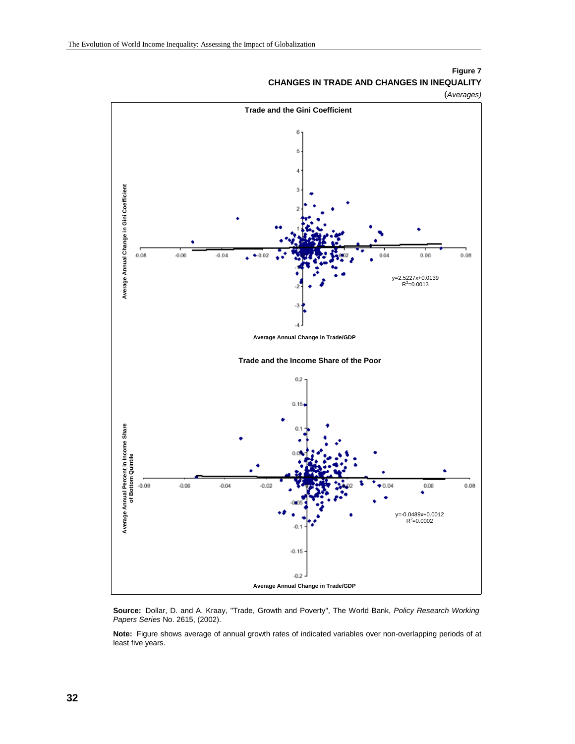

### **Figure 7 CHANGES IN TRADE AND CHANGES IN INEQUALITY**

**Source:** Dollar, D. and A. Kraay, "Trade, Growth and Poverty", The World Bank, *Policy Research Working Papers Series* No. 2615, (2002).

**Note:** Figure shows average of annual growth rates of indicated variables over non-overlapping periods of at least five years.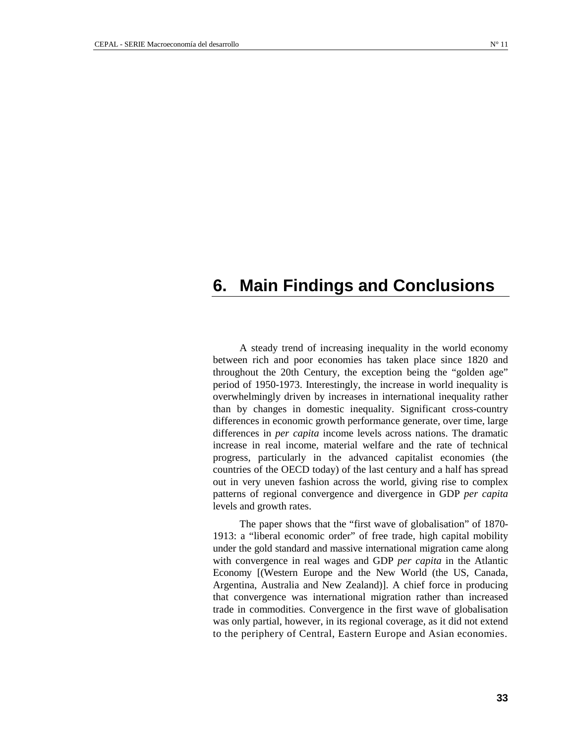# **6. Main Findings and Conclusions**

A steady trend of increasing inequality in the world economy between rich and poor economies has taken place since 1820 and throughout the 20th Century, the exception being the "golden age" period of 1950-1973. Interestingly, the increase in world inequality is overwhelmingly driven by increases in international inequality rather than by changes in domestic inequality. Significant cross-country differences in economic growth performance generate, over time, large differences in *per capita* income levels across nations. The dramatic increase in real income, material welfare and the rate of technical progress, particularly in the advanced capitalist economies (the countries of the OECD today) of the last century and a half has spread out in very uneven fashion across the world, giving rise to complex patterns of regional convergence and divergence in GDP *per capita* levels and growth rates.

The paper shows that the "first wave of globalisation" of 1870- 1913: a "liberal economic order" of free trade, high capital mobility under the gold standard and massive international migration came along with convergence in real wages and GDP *per capita* in the Atlantic Economy [(Western Europe and the New World (the US, Canada, Argentina, Australia and New Zealand)]. A chief force in producing that convergence was international migration rather than increased trade in commodities. Convergence in the first wave of globalisation was only partial, however, in its regional coverage, as it did not extend to the periphery of Central, Eastern Europe and Asian economies.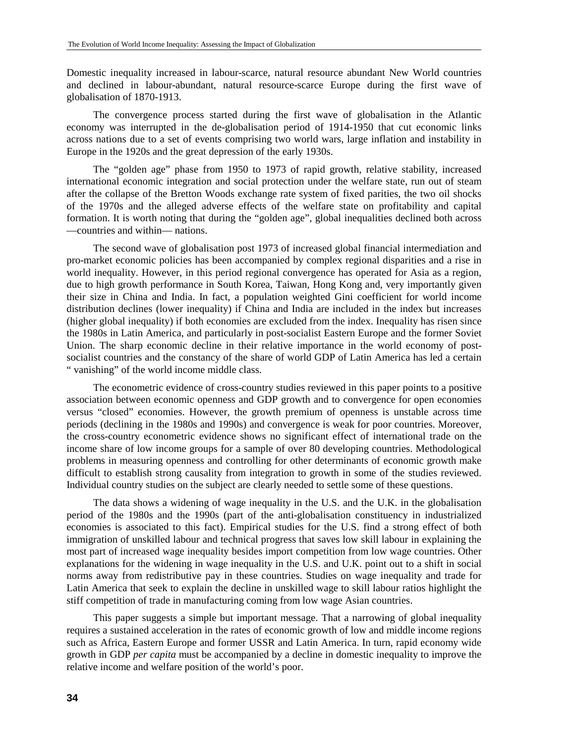Domestic inequality increased in labour-scarce, natural resource abundant New World countries and declined in labour-abundant, natural resource-scarce Europe during the first wave of globalisation of 1870-1913.

The convergence process started during the first wave of globalisation in the Atlantic economy was interrupted in the de-globalisation period of 1914-1950 that cut economic links across nations due to a set of events comprising two world wars, large inflation and instability in Europe in the 1920s and the great depression of the early 1930s.

The "golden age" phase from 1950 to 1973 of rapid growth, relative stability, increased international economic integration and social protection under the welfare state, run out of steam after the collapse of the Bretton Woods exchange rate system of fixed parities, the two oil shocks of the 1970s and the alleged adverse effects of the welfare state on profitability and capital formation. It is worth noting that during the "golden age", global inequalities declined both across —countries and within— nations.

The second wave of globalisation post 1973 of increased global financial intermediation and pro-market economic policies has been accompanied by complex regional disparities and a rise in world inequality. However, in this period regional convergence has operated for Asia as a region, due to high growth performance in South Korea, Taiwan, Hong Kong and, very importantly given their size in China and India. In fact, a population weighted Gini coefficient for world income distribution declines (lower inequality) if China and India are included in the index but increases (higher global inequality) if both economies are excluded from the index. Inequality has risen since the 1980s in Latin America, and particularly in post-socialist Eastern Europe and the former Soviet Union. The sharp economic decline in their relative importance in the world economy of postsocialist countries and the constancy of the share of world GDP of Latin America has led a certain " vanishing" of the world income middle class.

The econometric evidence of cross-country studies reviewed in this paper points to a positive association between economic openness and GDP growth and to convergence for open economies versus "closed" economies. However, the growth premium of openness is unstable across time periods (declining in the 1980s and 1990s) and convergence is weak for poor countries. Moreover, the cross-country econometric evidence shows no significant effect of international trade on the income share of low income groups for a sample of over 80 developing countries. Methodological problems in measuring openness and controlling for other determinants of economic growth make difficult to establish strong causality from integration to growth in some of the studies reviewed. Individual country studies on the subject are clearly needed to settle some of these questions.

The data shows a widening of wage inequality in the U.S. and the U.K. in the globalisation period of the 1980s and the 1990s (part of the anti-globalisation constituency in industrialized economies is associated to this fact). Empirical studies for the U.S. find a strong effect of both immigration of unskilled labour and technical progress that saves low skill labour in explaining the most part of increased wage inequality besides import competition from low wage countries. Other explanations for the widening in wage inequality in the U.S. and U.K. point out to a shift in social norms away from redistributive pay in these countries. Studies on wage inequality and trade for Latin America that seek to explain the decline in unskilled wage to skill labour ratios highlight the stiff competition of trade in manufacturing coming from low wage Asian countries.

This paper suggests a simple but important message. That a narrowing of global inequality requires a sustained acceleration in the rates of economic growth of low and middle income regions such as Africa, Eastern Europe and former USSR and Latin America. In turn, rapid economy wide growth in GDP *per capita* must be accompanied by a decline in domestic inequality to improve the relative income and welfare position of the world's poor.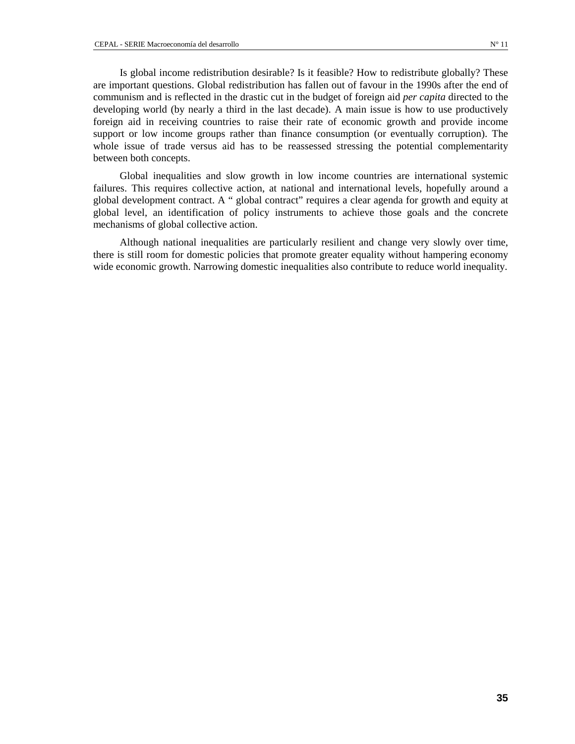Is global income redistribution desirable? Is it feasible? How to redistribute globally? These are important questions. Global redistribution has fallen out of favour in the 1990s after the end of communism and is reflected in the drastic cut in the budget of foreign aid *per capita* directed to the developing world (by nearly a third in the last decade). A main issue is how to use productively foreign aid in receiving countries to raise their rate of economic growth and provide income support or low income groups rather than finance consumption (or eventually corruption). The whole issue of trade versus aid has to be reassessed stressing the potential complementarity between both concepts.

Global inequalities and slow growth in low income countries are international systemic failures. This requires collective action, at national and international levels, hopefully around a global development contract. A " global contract" requires a clear agenda for growth and equity at global level, an identification of policy instruments to achieve those goals and the concrete mechanisms of global collective action.

Although national inequalities are particularly resilient and change very slowly over time, there is still room for domestic policies that promote greater equality without hampering economy wide economic growth. Narrowing domestic inequalities also contribute to reduce world inequality.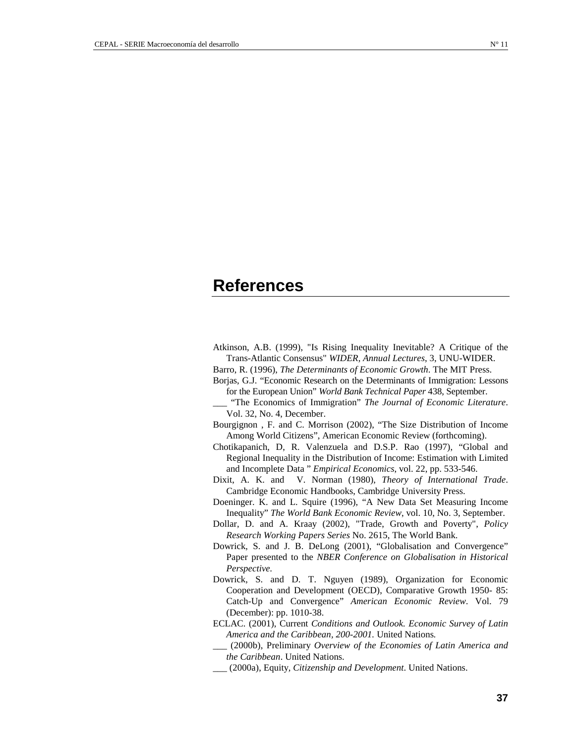## **References**

- Atkinson, A.B. (1999), "Is Rising Inequality Inevitable? A Critique of the Trans-Atlantic Consensus" *WIDER, Annual Lectures*, 3, UNU-WIDER.
- Barro, R. (1996), *The Determinants of Economic Growth*. The MIT Press.
- Borjas, G.J. "Economic Research on the Determinants of Immigration: Lessons for the European Union" *World Bank Technical Paper* 438, September.
- \_\_\_ "The Economics of Immigration" *The Journal of Economic Literature*. Vol. 32, No. 4, December.
- Bourgignon , F. and C. Morrison (2002), "The Size Distribution of Income Among World Citizens", American Economic Review (forthcoming).
- Chotikapanich, D, R. Valenzuela and D.S.P. Rao (1997), "Global and Regional Inequality in the Distribution of Income: Estimation with Limited and Incomplete Data " *Empirical Economics*, vol. 22, pp. 533-546.
- Dixit, A. K. and V. Norman (1980), *Theory of International Trade*. Cambridge Economic Handbooks, Cambridge University Press.
- Doeninger. K. and L. Squire (1996), "A New Data Set Measuring Income Inequality" *The World Bank Economic Review*, vol. 10, No. 3, September.
- Dollar, D. and A. Kraay (2002), "Trade, Growth and Poverty", *Policy Research Working Papers Series* No. 2615, The World Bank.
- Dowrick, S. and J. B. DeLong (2001), "Globalisation and Convergence" Paper presented to the *NBER Conference on Globalisation in Historical Perspective.*
- Dowrick, S. and D. T. Nguyen (1989), Organization for Economic Cooperation and Development (OECD), Comparative Growth 1950- 85: Catch-Up and Convergence" *American Economic Review*. Vol. 79 (December): pp. 1010-38.
- ECLAC. (2001), Current *Conditions and Outlook. Economic Survey of Latin America and the Caribbean, 200-2001.* United Nations*.*
- \_\_\_ (2000b), Preliminary *Overview of the Economies of Latin America and the Caribbean*. United Nations.
- \_\_\_ (2000a), Equity*, Citizenship and Development*. United Nations.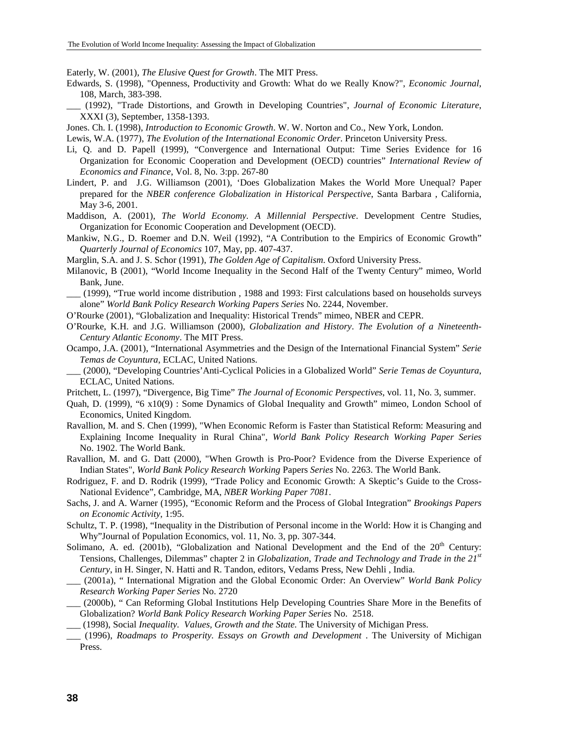Eaterly, W. (2001), *The Elusive Quest for Growth*. The MIT Press.

- Edwards, S. (1998), "Openness, Productivity and Growth: What do we Really Know?", *Economic Journal*, 108, March, 383-398.
	- \_\_\_ (1992), "Trade Distortions, and Growth in Developing Countries", *Journal of Economic Literature*, XXXI (3), September, 1358-1393.
- Jones. Ch. I. (1998), *Introduction to Economic Growth*. W. W. Norton and Co., New York, London.
- Lewis, W.A. (1977), *The Evolution of the International Economic Order*. Princeton University Press.
- Li, Q. and D. Papell (1999), "Convergence and International Output: Time Series Evidence for 16 Organization for Economic Cooperation and Development (OECD) countries" *International Review of Economics and Finance*, Vol. 8, No. 3:pp. 267-80
- Lindert, P. and J.G. Williamson (2001), 'Does Globalization Makes the World More Unequal? Paper prepared for the *NBER conference Globalization in Historical Perspective*, Santa Barbara , California, May 3-6, 2001.
- Maddison, A. (2001), *The World Economy. A Millennial Perspective*. Development Centre Studies, Organization for Economic Cooperation and Development (OECD).
- Mankiw, N.G., D. Roemer and D.N. Weil (1992), "A Contribution to the Empirics of Economic Growth" *Quarterly Journal of Economics* 107, May, pp. 407-437.

Marglin, S.A. and J. S. Schor (1991), *The Golden Age of Capitalism*. Oxford University Press.

- Milanovic, B (2001), "World Income Inequality in the Second Half of the Twenty Century" mimeo, World Bank, June.
- \_\_\_ (1999), "True world income distribution , 1988 and 1993: First calculations based on households surveys alone" *World Bank Policy Research Working Papers Series* No. 2244, November.
- O'Rourke (2001), "Globalization and Inequality: Historical Trends" mimeo, NBER and CEPR.
- O'Rourke, K.H. and J.G. Williamson (2000), *Globalization and History*. *The Evolution of a Nineteenth-Century Atlantic Economy*. The MIT Press.
- Ocampo, J.A. (2001), "International Asymmetries and the Design of the International Financial System" *Serie Temas de Coyuntura*, ECLAC, United Nations.
- \_\_\_ (2000), "Developing Countries'Anti-Cyclical Policies in a Globalized World" *Serie Temas de Coyuntura*, ECLAC, United Nations.
- Pritchett, L. (1997), "Divergence, Big Time" *The Journal of Economic Perspectives*, vol. 11, No. 3, summer.
- Quah, D. (1999), "6 x10(9) : Some Dynamics of Global Inequality and Growth" mimeo, London School of Economics, United Kingdom.
- Ravallion, M. and S. Chen (1999), "When Economic Reform is Faster than Statistical Reform: Measuring and Explaining Income Inequality in Rural China", *World Bank Policy Research Working Paper Series* No. 1902. The World Bank.
- Ravallion, M. and G. Datt (2000), "When Growth is Pro-Poor? Evidence from the Diverse Experience of Indian States", *World Bank Policy Research Working* Papers *Series* No. 2263. The World Bank.
- Rodriguez, F. and D. Rodrik (1999), "Trade Policy and Economic Growth: A Skeptic's Guide to the Cross-National Evidence", Cambridge, MA, *NBER Working Paper 7081*.
- Sachs, J. and A. Warner (1995), "Economic Reform and the Process of Global Integration" *Brookings Papers on Economic Activity*, 1:95.
- Schultz, T. P. (1998), "Inequality in the Distribution of Personal income in the World: How it is Changing and Why"Journal of Population Economics, vol. 11, No. 3, pp. 307-344.
- Solimano, A. ed. (2001b), "Globalization and National Development and the End of the 20<sup>th</sup> Century: Tensions, Challenges, Dilemmas" chapter 2 in *Globalization, Trade and Technology and Trade in the 21st Century*, in H. Singer, N. Hatti and R. Tandon, editors, Vedams Press, New Dehli , India.
- \_\_\_ (2001a), " International Migration and the Global Economic Order: An Overview" *World Bank Policy Research Working Paper Series* No. 2720
- \_\_\_ (2000b), " Can Reforming Global Institutions Help Developing Countries Share More in the Benefits of Globalization? *World Bank Policy Research Working Paper Series* No. 2518.
- \_\_\_ (1998), Social *Inequality. Values, Growth and the State.* The University of Michigan Press.
- \_\_\_ (1996), *Roadmaps to Prosperity. Essays on Growth and Development* . The University of Michigan Press.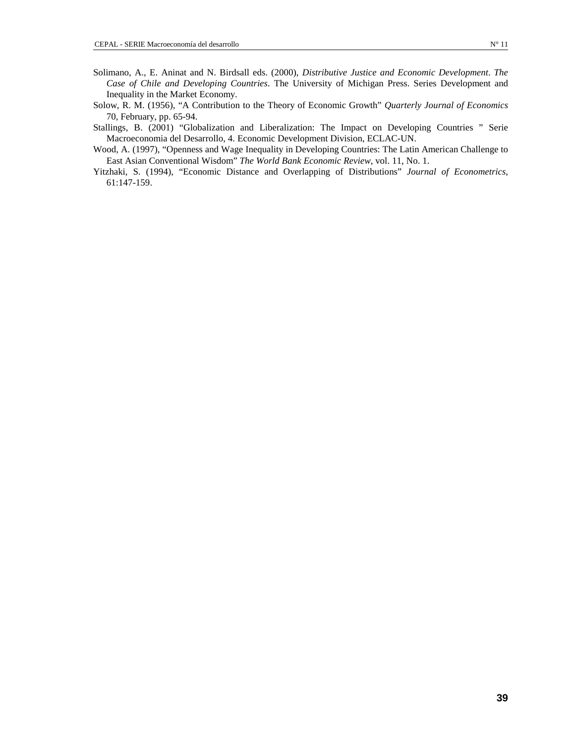- Solimano, A., E. Aninat and N. Birdsall eds. (2000), *Distributive Justice and Economic Development*. *The Case of Chile and Developing Countries*. The University of Michigan Press. Series Development and Inequality in the Market Economy.
- Solow, R. M. (1956), "A Contribution to the Theory of Economic Growth" *Quarterly Journal of Economics* 70, February, pp. 65-94.
- Stallings, B. (2001) "Globalization and Liberalization: The Impact on Developing Countries " Serie Macroeconomia del Desarrollo, 4. Economic Development Division, ECLAC-UN.
- Wood, A. (1997), "Openness and Wage Inequality in Developing Countries: The Latin American Challenge to East Asian Conventional Wisdom" *The World Bank Economic Review*, vol. 11, No. 1.
- Yitzhaki, S. (1994), "Economic Distance and Overlapping of Distributions" *Journal of Econometrics*, 61:147-159.